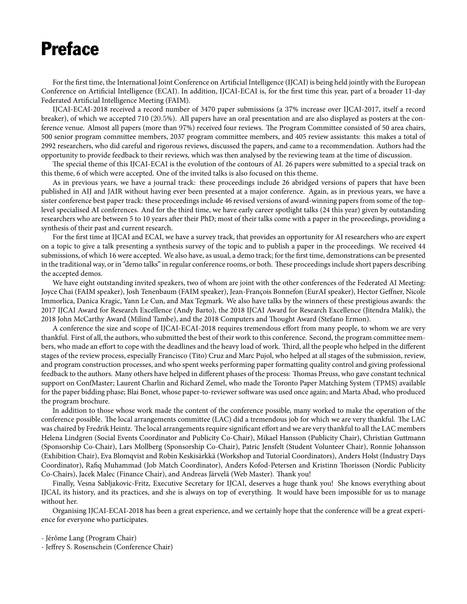# Preface

For the first time, the International Joint Conference on Artificial Intelligence (IJCAI) is being held jointly with the European Conference on Artificial Intelligence (ECAI). In addition, IJCAI-ECAI is, for the first time this year, part of a broader 11-day Federated Artificial Intelligence Meeting (FAIM).

IJCAI-ECAI-2018 received a record number of 3470 paper submissions (a 37% increase over IJCAI-2017, itself a record breaker), of which we accepted 710 (20*.*5%). All papers have an oral presentation and are also displayed as posters at the conference venue. Almost all papers (more than 97%) received four reviews. The Program Committee consisted of 50 area chairs, 500 senior program committee members, 2037 program committee members, and 405 review assistants: this makes a total of 2992 researchers, who did careful and rigorous reviews, discussed the papers, and came to a recommendation. Authors had the opportunity to provide feedback to their reviews, which was then analysed by the reviewing team at the time of discussion.

The special theme of this IJCAI-ECAI is the evolution of the contours of AI. 26 papers were submitted to a special track on this theme, 6 of which were accepted. One of the invited talks is also focused on this theme.

As in previous years, we have a journal track: these proceedings include 26 abridged versions of papers that have been published in AIJ and JAIR without having ever been presented at a major conference. Again, as in previous years, we have a sister conference best paper track: these proceedings include 46 revised versions of award-winning papers from some of the toplevel specialised AI conferences. And for the third time, we have early career spotlight talks (24 this year) given by outstanding researchers who are between 5 to 10 years after their PhD; most of their talks come with a paper in the proceedings, providing a synthesis of their past and current research.

For the first time at IJCAI and ECAI, we have a survey track, that provides an opportunity for AI researchers who are expert on a topic to give a talk presenting a synthesis survey of the topic and to publish a paper in the proceedings. We received 44 submissions, of which 16 were accepted. We also have, as usual, a demo track; for the first time, demonstrations can be presented in the traditional way, or in "demo talks" in regular conference rooms, or both. These proceedings include short papers describing the accepted demos.

We have eight outstanding invited speakers, two of whom are joint with the other conferences of the Federated AI Meeting: Joyce Chai (FAIM speaker), Josh Tenenbaum (FAIM speaker), Jean-François Bonnefon (EurAI speaker), Hector Geffner, Nicole Immorlica, Danica Kragic, Yann Le Cun, and Max Tegmark. We also have talks by the winners of these prestigious awards: the 2017 IJCAI Award for Research Excellence (Andy Barto), the 2018 IJCAI Award for Research Excellence (Jitendra Malik), the 2018 John McCarthy Award (Milind Tambe), and the 2018 Computers and Thought Award (Stefano Ermon).

A conference the size and scope of IJCAI-ECAI-2018 requires tremendous effort from many people, to whom we are very thankful. First of all, the authors, who submitted the best of their work to this conference. Second, the program committee members, who made an effort to cope with the deadlines and the heavy load of work. Third, all the people who helped in the different stages of the review process, especially Francisco (Tito) Cruz and Marc Pujol, who helped at all stages of the submission, review, and program construction processes, and who spent weeks performing paper formatting quality control and giving professional feedback to the authors. Many others have helped in different phases of the process: Thomas Preuss, who gave constant technical support on ConfMaster; Laurent Charlin and Richard Zemel, who made the Toronto Paper Matching System (TPMS) available for the paper bidding phase; Blai Bonet, whose paper-to-reviewer software was used once again; and Marta Abad, who produced the program brochure.

In addition to those whose work made the content of the conference possible, many worked to make the operation of the conference possible. The local arrangements committee (LAC) did a tremendous job for which we are very thankful. The LAC was chaired by Fredrik Heintz. The local arrangements require significant effort and we are very thankful to all the LAC members Helena Lindgren (Social Events Coordinator and Publicity Co-Chair), Mikael Hansson (Publicity Chair), Christian Guttmann (Sponsorship Co-Chair), Lars Mollberg (Sponsorship Co-Chair), Patric Jensfelt (Student Volunteer Chair), Ronnie Johansson (Exhibition Chair), Eva Blomqvist and Robin Keskisärkkä (Workshop and Tutorial Coordinators), Anders Holst (Industry Days Coordinator), Rafiq Muhammad (Job Match Coordinator), Anders Kofod-Petersen and Kristinn Thorisson (Nordic Publicity Co-Chairs), Jacek Malec (Finance Chair), and Andreas Järvelä (Web Master). Thank you!

Finally, Vesna Sabljakovic-Fritz, Executive Secretary for IJCAI, deserves a huge thank you! She knows everything about IJCAI, its history, and its practices, and she is always on top of everything. It would have been impossible for us to manage without her.

Organising IJCAI-ECAI-2018 has been a great experience, and we certainly hope that the conference will be a great experience for everyone who participates.

- Jérôme Lang (Program Chair)

- Jeffrey S. Rosenschein (Conference Chair)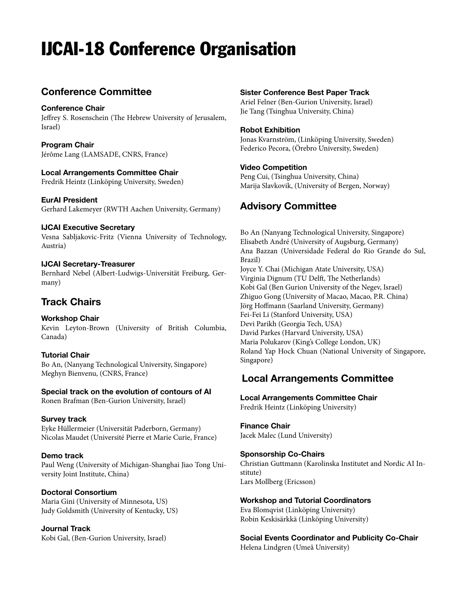# IJCAI-18 Conference Organisation

# **Conference Committee**

#### **Conference Chair**

Jeffrey S. Rosenschein (The Hebrew University of Jerusalem, Israel)

**Program Chair** Jérôme Lang (LAMSADE, CNRS, France)

#### **Local Arrangements Committee Chair**

Fredrik Heintz (Linköping University, Sweden)

#### **EurAI President**

Gerhard Lakemeyer (RWTH Aachen University, Germany)

#### **IJCAI Executive Secretary**

Vesna Sabljakovic-Fritz (Vienna University of Technology, Austria)

#### **IJCAI Secretary-Treasurer**

Bernhard Nebel (Albert-Ludwigs-Universität Freiburg, Germany)

## **Track Chairs**

### **Workshop Chair**

Kevin Leyton-Brown (University of British Columbia, Canada)

### **Tutorial Chair**

Bo An, (Nanyang Technological University, Singapore) Meghyn Bienvenu, (CNRS, France)

#### **Special track on the evolution of contours of AI**

Ronen Brafman (Ben-Gurion University, Israel)

#### **Survey track**

Eyke Hüllermeier (Universität Paderborn, Germany) Nicolas Maudet (Université Pierre et Marie Curie, France)

#### **Demo track**

Paul Weng (University of Michigan-Shanghai Jiao Tong University Joint Institute, China)

### **Doctoral Consortium**

Maria Gini (University of Minnesota, US) Judy Goldsmith (University of Kentucky, US)

**Journal Track** Kobi Gal, (Ben-Gurion University, Israel)

#### **Sister Conference Best Paper Track**

Ariel Felner (Ben-Gurion University, Israel) Jie Tang (Tsinghua University, China)

#### **Robot Exhibition**

Jonas Kvarnström, (Linköping University, Sweden) Federico Pecora, (Örebro University, Sweden)

#### **Video Competition**

Peng Cui, (Tsinghua University, China) Marija Slavkovik, (University of Bergen, Norway)

# **Advisory Committee**

Bo An (Nanyang Technological University, Singapore) Elisabeth André (University of Augsburg, Germany) Ana Bazzan (Universidade Federal do Rio Grande do Sul, Brazil) Joyce Y. Chai (Michigan Atate University, USA) Virginia Dignum (TU Delft, The Netherlands) Kobi Gal (Ben Gurion University of the Negev, Israel) Zhiguo Gong (University of Macao, Macao, P.R. China) Jörg Hoffmann (Saarland University, Germany) Fei-Fei Li (Stanford University, USA) Devi Parikh (Georgia Tech, USA) David Parkes (Harvard University, USA) Maria Polukarov (King's College London, UK) Roland Yap Hock Chuan (National University of Singapore, Singapore)

### **Local Arrangements Committee**

#### **Local Arrangements Committee Chair** Fredrik Heintz (Linköping University)

**Finance Chair** Jacek Malec (Lund University)

### **Sponsorship Co-Chairs**

Christian Guttmann (Karolinska Institutet and Nordic AI Institute) Lars Mollberg (Ericsson)

#### **Workshop and Tutorial Coordinators**

Eva Blomqvist (Linköping University) Robin Keskisärkkä (Linköping University)

**Social Events Coordinator and Publicity Co-Chair** Helena Lindgren (Umeå University)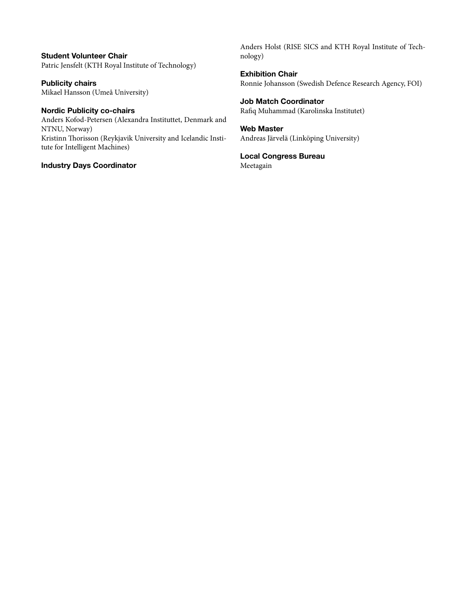**Student Volunteer Chair** Patric Jensfelt (KTH Royal Institute of Technology)

**Publicity chairs** Mikael Hansson (Umeå University)

**Nordic Publicity co-chairs** Anders Kofod-Petersen (Alexandra Instituttet, Denmark and NTNU, Norway) Kristinn Thorisson (Reykjavik University and Icelandic Institute for Intelligent Machines)

**Industry Days Coordinator**

Anders Holst (RISE SICS and KTH Royal Institute of Technology)

**Exhibition Chair** Ronnie Johansson (Swedish Defence Research Agency, FOI)

**Job Match Coordinator** Rafiq Muhammad (Karolinska Institutet)

**Web Master** Andreas Järvelä (Linköping University)

**Local Congress Bureau** Meetagain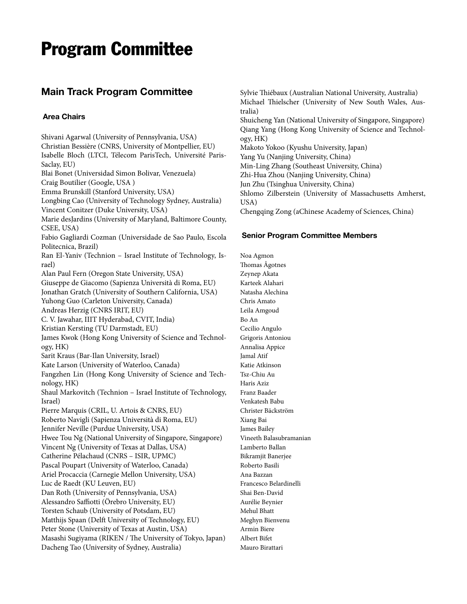# Program Committee

## **Main Track Program Committee**

#### **Area Chairs**

Shivani Agarwal (University of Pennsylvania, USA) Christian Bessière (CNRS, University of Montpellier, EU) Isabelle Bloch (LTCI, Télecom ParisTech, Université Paris-Saclay, EU) Blai Bonet (Universidad Simon Bolivar, Venezuela) Craig Boutilier (Google, USA ) Emma Brunskill (Stanford University, USA) Longbing Cao (University of Technology Sydney, Australia) Vincent Conitzer (Duke University, USA) Marie desJardins (University of Maryland, Baltimore County, CSEE, USA) Fabio Gagliardi Cozman (Universidade de Sao Paulo, Escola Politecnica, Brazil) Ran El-Yaniv (Technion – Israel Institute of Technology, Israel) Alan Paul Fern (Oregon State University, USA) Giuseppe de Giacomo (Sapienza Università di Roma, EU) Jonathan Gratch (University of Southern California, USA) Yuhong Guo (Carleton University, Canada) Andreas Herzig (CNRS IRIT, EU) C. V. Jawahar, IIIT Hyderabad, CVIT, India) Kristian Kersting (TU Darmstadt, EU) James Kwok (Hong Kong University of Science and Technology, HK) Sarit Kraus (Bar-Ilan University, Israel) Kate Larson (University of Waterloo, Canada) Fangzhen Lin (Hong Kong University of Science and Technology, HK) Shaul Markovitch (Technion – Israel Institute of Technology, Israel) Pierre Marquis (CRIL, U. Artois & CNRS, EU) Roberto Navigli (Sapienza Università di Roma, EU) Jennifer Neville (Purdue University, USA) Hwee Tou Ng (National University of Singapore, Singapore) Vincent Ng (University of Texas at Dallas, USA) Catherine Pélachaud (CNRS – ISIR, UPMC) Pascal Poupart (University of Waterloo, Canada) Ariel Procaccia (Carnegie Mellon University, USA) Luc de Raedt (KU Leuven, EU) Dan Roth (University of Pennsylvania, USA) Alessandro Saffiotti (Örebro University, EU) Torsten Schaub (University of Potsdam, EU) Matthijs Spaan (Delft University of Technology, EU) Peter Stone (University of Texas at Austin, USA) Masashi Sugiyama (RIKEN / The University of Tokyo, Japan) Dacheng Tao (University of Sydney, Australia)

Sylvie Thiébaux (Australian National University, Australia) Michael Thielscher (University of New South Wales, Australia) Shuicheng Yan (National University of Singapore, Singapore) Qiang Yang (Hong Kong University of Science and Technology, HK) Makoto Yokoo (Kyushu University, Japan) Yang Yu (Nanjing University, China) Min-Ling Zhang (Southeast University, China) Zhi-Hua Zhou (Nanjing University, China) Jun Zhu (Tsinghua University, China) Shlomo Zilberstein (University of Massachusetts Amherst, USA) Chengqing Zong (aChinese Academy of Sciences, China)

#### **Senior Program Committee Members**

Noa Agmon Thomas Ågotnes Zeynep Akata Karteek Alahari Natasha Alechina Chris Amato Leila Amgoud Bo An Cecilio Angulo Grigoris Antoniou Annalisa Appice Jamal Atif Katie Atkinson Tsz-Chiu Au Haris Aziz Franz Baader Venkatesh Babu Christer Bäckström Xiang Bai James Bailey Vineeth Balasubramanian Lamberto Ballan Bikramjit Banerjee Roberto Basili Ana Bazzan Francesco Belardinelli Shai Ben-David Aurélie Beynier Mehul Bhatt Meghyn Bienvenu Armin Biere Albert Bifet Mauro Birattari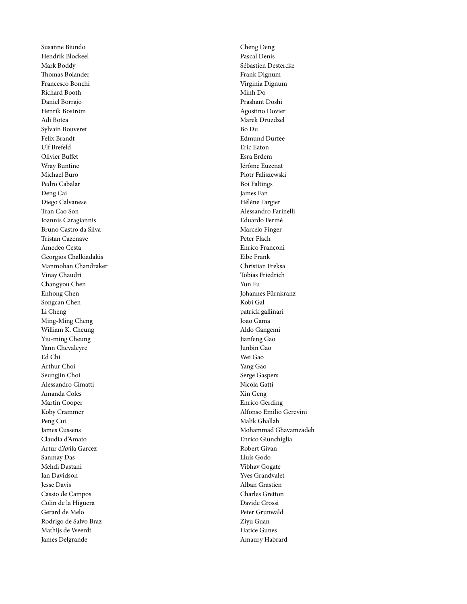Susanne Biundo Hendrik Blockeel Mark Boddy Thomas Bolander Francesco Bonchi Richard Booth Daniel Borrajo Henrik Boström Adi Botea Sylvain Bouveret Felix Brandt Ulf Brefeld Olivier Buffet Wray Buntine Michael Buro Pedro Cabalar Deng Cai Diego Calvanese Tran Cao Son Ioannis Caragiannis Bruno Castro da Silva Tristan Cazenave Amedeo Cesta Georgios Chalkiadakis Manmohan Chandraker Vinay Chaudri Changyou Chen Enhong Chen Songcan Chen Li Cheng Ming-Ming Cheng William K. Cheung Yiu-ming Cheung Yann Chevaleyre Ed Chi Arthur Choi Seungjin Choi Alessandro Cimatti Amanda Coles Martin Cooper Koby Crammer Peng Cui James Cussens Claudia d'Amato Artur d'Avila Garcez Sanmay Das Mehdi Dastani Ian Davidson Jesse Davis Cassio de Campos Colin de la Higuera Gerard de Melo Rodrigo de Salvo Braz Mathijs de Weerdt James Delgrande

Cheng Deng Pascal Denis Sébastien Destercke Frank Dignum Virginia Dignum Minh Do Prashant Doshi Agostino Dovier Marek Druzdzel Bo Du Edmund Durfee Eric Eaton Esra Erdem Jérôme Euzenat Piotr Faliszewski Boi Faltings James Fan Hélène Fargier Alessandro Farinelli Eduardo Fermé Marcelo Finger Peter Flach Enrico Franconi Eibe Frank Christian Freksa Tobias Friedrich Yun Fu Johannes Fürnkranz Kobi Gal patrick gallinari Joao Gama Aldo Gangemi Jianfeng Gao Junbin Gao Wei Gao Yang Gao Serge Gaspers Nicola Gatti Xin Geng Enrico Gerding Alfonso Emilio Gerevini Malik Ghallab Mohammad Ghavamzadeh Enrico Giunchiglia Robert Givan Lluís Godo Vibhav Gogate Yves Grandvalet Alban Grastien Charles Gretton Davide Grossi Peter Grunwald Ziyu Guan Hatice Gunes Amaury Habrard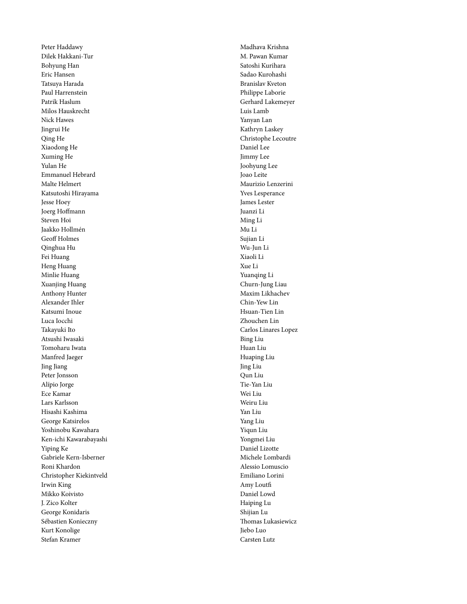Peter Haddawy Dilek Hakkani-Tur Bohyung Han Eric Hansen Tatsuya Harada Paul Harrenstein Patrik Haslum Milos Hauskrecht Nick Hawes Jingrui He Qing He Xiaodong He Xuming He Yulan He Emmanuel Hebrard Malte Helmert Katsutoshi Hirayama Jesse Hoey Joerg Hoffmann Steven Hoi Jaakko Hollmén Geoff Holmes Qinghua Hu Fei Huang Heng Huang Minlie Huang Xuanjing Huang Anthony Hunter Alexander Ihler Katsumi Inoue Luca Iocchi Takayuki Ito Atsushi Iwasaki Tomoharu Iwata Manfred Jaeger Jing Jiang Peter Jonsson Alípio Jorge Ece Kamar Lars Karlsson Hisashi Kashima George Katsirelos Yoshinobu Kawahara Ken-ichi Kawarabayashi Yiping Ke Gabriele Kern-Isberner Roni Khardon Christopher Kiekintveld Irwin King Mikko Koivisto J. Zico Kolter George Konidaris Sébastien Konieczny Kurt Konolige Stefan Kramer

Madhava Krishna M. Pawan Kumar Satoshi Kurihara Sadao Kurohashi Branislav Kveton Philippe Laborie Gerhard Lakemeyer Luis Lamb Yanyan Lan Kathryn Laskey Christophe Lecoutre Daniel Lee Jimmy Lee Joohyung Lee Joao Leite Maurizio Lenzerini Yves Lesperance James Lester Juanzi Li Ming Li Mu Li Sujian Li Wu-Jun Li Xiaoli Li Xue Li Yuanqing Li Churn-Jung Liau Maxim Likhachev Chin-Yew Lin Hsuan-Tien Lin Zhouchen Lin Carlos Linares Lopez Bing Liu Huan Liu Huaping Liu Jing Liu Qun Liu Tie-Yan Liu Wei Liu Weiru Liu Yan Liu Yang Liu Yiqun Liu Yongmei Liu Daniel Lizotte Michele Lombardi Alessio Lomuscio Emiliano Lorini Amy Loutfi Daniel Lowd Haiping Lu Shijian Lu Thomas Lukasiewicz Jiebo Luo Carsten Lutz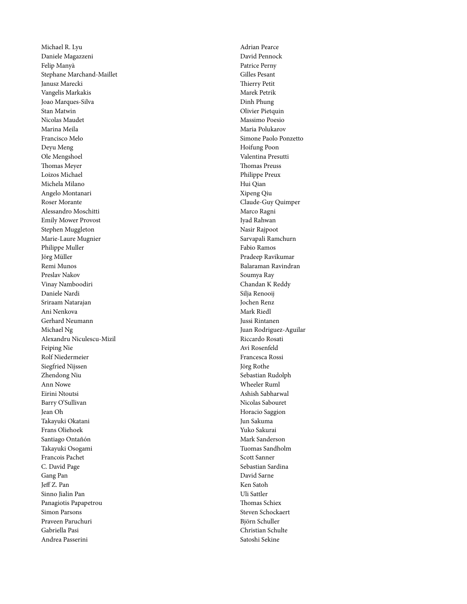Michael R. Lyu Daniele Magazzeni Felip Manyà Stephane Marchand-Maillet Janusz Marecki Vangelis Markakis Joao Marques-Silva Stan Matwin Nicolas Maudet Marina Meila Francisco Melo Deyu Meng Ole Mengshoel Thomas Meyer Loizos Michael Michela Milano Angelo Montanari Roser Morante Alessandro Moschitti Emily Mower Provost Stephen Muggleton Marie-Laure Mugnier Philippe Muller Jörg Müller Remi Munos Preslav Nakov Vinay Namboodiri Daniele Nardi Sriraam Natarajan Ani Nenkova Gerhard Neumann Michael Ng Alexandru Niculescu-Mizil Feiping Nie Rolf Niedermeier Siegfried Nijssen Zhendong Niu Ann Nowe Eirini Ntoutsi Barry O'Sullivan Jean Oh Takayuki Okatani Frans Oliehoek Santiago Ontañón Takayuki Osogami Francois Pachet C. David Page Gang Pan Jeff Z. Pan Sinno Jialin Pan Panagiotis Papapetrou Simon Parsons Praveen Paruchuri Gabriella Pasi Andrea Passerini

Adrian Pearce David Pennock Patrice Perny Gilles Pesant Thierry Petit Marek Petrik Dinh Phung Olivier Pietquin Massimo Poesio Maria Polukarov Simone Paolo Ponzetto Hoifung Poon Valentina Presutti Thomas Preuss Philippe Preux Hui Qian Xipeng Qiu Claude-Guy Quimper Marco Ragni Iyad Rahwan Nasir Rajpoot Sarvapali Ramchurn Fabio Ramos Pradeep Ravikumar Balaraman Ravindran Soumya Ray Chandan K Reddy Silja Renooij Jochen Renz Mark Riedl Jussi Rintanen Juan Rodriguez-Aguilar Riccardo Rosati Avi Rosenfeld Francesca Rossi Jörg Rothe Sebastian Rudolph Wheeler Ruml Ashish Sabharwal Nicolas Sabouret Horacio Saggion Jun Sakuma Yuko Sakurai Mark Sanderson Tuomas Sandholm Scott Sanner Sebastian Sardina David Sarne Ken Satoh Uli Sattler Thomas Schiex Steven Schockaert Björn Schuller Christian Schulte Satoshi Sekine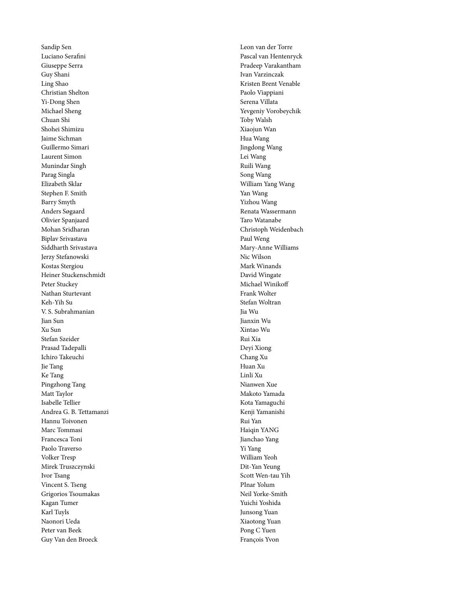Sandip Sen Luciano Serafini Giuseppe Serra Guy Shani Ling Shao Christian Shelton Yi-Dong Shen Michael Sheng Chuan Shi Shohei Shimizu Jaime Sichman Guillermo Simari Laurent Simon Munindar Singh Parag Singla Elizabeth Sklar Stephen F. Smith Barry Smyth Anders Søgaard Olivier Spanjaard Mohan Sridharan Biplav Srivastava Siddharth Srivastava Jerzy Stefanowski Kostas Stergiou Heiner Stuckenschmidt Peter Stuckey Nathan Sturtevant Keh-Yih Su V. S. Subrahmanian Jian Sun Xu Sun Stefan Szeider Prasad Tadepalli Ichiro Takeuchi Jie Tang Ke Tang Pingzhong Tang Matt Taylor Isabelle Tellier Andrea G. B. Tettamanzi Hannu Toivonen Marc Tommasi Francesca Toni Paolo Traverso Volker Tresp Mirek Truszczynski Ivor Tsang Vincent S. Tseng Grigorios Tsoumakas Kagan Tumer Karl Tuyls Naonori Ueda Peter van Beek Guy Van den Broeck

Leon van der Torre Pascal van Hentenryck Pradeep Varakantham Ivan Varzinczak Kristen Brent Venable Paolo Viappiani Serena Villata Yevgeniy Vorobeychik Toby Walsh Xiaojun Wan Hua Wang Jingdong Wang Lei Wang Ruili Wang Song Wang William Yang Wang Yan Wang Yizhou Wang Renata Wassermann Taro Watanabe Christoph Weidenbach Paul Weng Mary-Anne Williams Nic Wilson Mark Winands David Wingate Michael Winikoff Frank Wolter Stefan Woltran Jia Wu Jianxin Wu Xintao Wu Rui Xia Deyi Xiong Chang Xu Huan Xu Linli Xu Nianwen Xue Makoto Yamada Kota Yamaguchi Kenji Yamanishi Rui Yan Haiqin YANG Jianchao Yang Yi Yang William Yeoh Dit-Yan Yeung Scott Wen-tau Yih PInar Yolum Neil Yorke-Smith Yuichi Yoshida Junsong Yuan Xiaotong Yuan Pong C Yuen François Yvon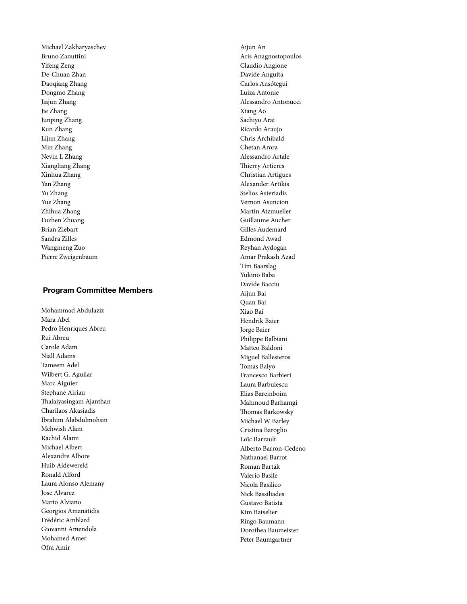Michael Zakharyaschev Bruno Zanuttini Yifeng Zeng De-Chuan Zhan Daoqiang Zhang Dongmo Zhang Jiajun Zhang Jie Zhang Junping Zhang Kun Zhang Lijun Zhang Min Zhang Nevin L Zhang Xiangliang Zhang Xinhua Zhang Yan Zhang Yu Zhang Yue Zhang Zhihua Zhang Fuzhen Zhuang Brian Ziebart Sandra Zilles Wangmeng Zuo Pierre Zweigenbaum

#### **Program Committee Members**

Mohammad Abdulaziz Mara Abel Pedro Henriques Abreu Rui Abreu Carole Adam Niall Adams Tameem Adel Wilbert G. Aguilar Marc Aiguier Stephane Airiau Thalaiyasingam Ajanthan Charilaos Akasiadis Ibrahim Alabdulmohsin Mehwish Alam Rachid Alami Michael Albert Alexandre Albore Huib Aldewereld Ronald Alford Laura Alonso Alemany Jose Alvarez Mario Alviano Georgios Amanatidis Frédéric Amblard Giovanni Amendola Mohamed Amer Ofra Amir

Aijun An Aris Anagnostopoulos Claudio Angione Davide Anguita Carlos Ansótegui Luiza Antonie Alessandro Antonucci Xiang Ao Sachiyo Arai Ricardo Araujo Chris Archibald Chetan Arora Alessandro Artale Thierry Artieres Christian Artigues Alexander Artikis Stelios Asteriadis Vernon Asuncion Martin Atzmueller Guillaume Aucher Gilles Audemard Edmond Awad Reyhan Aydogan Amar Prakash Azad Tim Baarslag Yukino Baba Davide Bacciu Aijun Bai Quan Bai Xiao Bai Hendrik Baier Jorge Baier Philippe Balbiani Matteo Baldoni Miguel Ballesteros Tomas Balyo Francesco Barbieri Laura Barbulescu Elias Bareinboim Mahmoud Barhamgi Thomas Barkowsky Michael W Barley Cristina Baroglio Loïc Barrault Alberto Barron-Cedeno Nathanael Barrot Roman Barták Valerio Basile Nicola Basilico Nick Bassiliades Gustavo Batista Kim Batselier Ringo Baumann Dorothea Baumeister Peter Baumgartner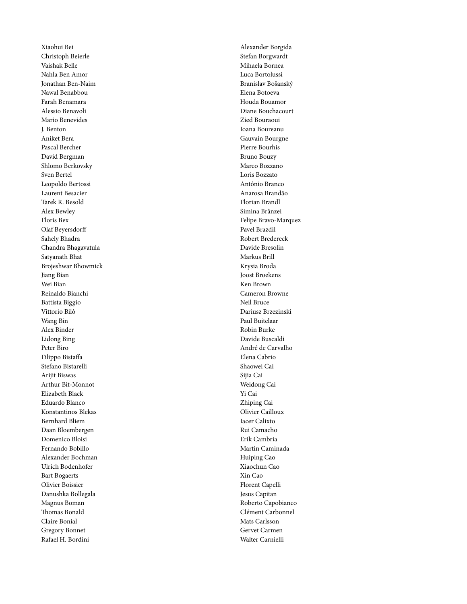Xiaohui Bei Christoph Beierle Vaishak Belle Nahla Ben Amor Jonathan Ben-Naim Nawal Benabbou Farah Benamara Alessio Benavoli Mario Benevides J. Benton Aniket Bera Pascal Bercher David Bergman Shlomo Berkovsky Sven Bertel Leopoldo Bertossi Laurent Besacier Tarek R. Besold Alex Bewley Floris Bex Olaf Beyersdorff Sahely Bhadra Chandra Bhagavatula Satyanath Bhat Brojeshwar Bhowmick Jiang Bian Wei Bian Reinaldo Bianchi Battista Biggio Vittorio Bilò Wang Bin Alex Binder Lidong Bing Peter Biro Filippo Bistaffa Stefano Bistarelli Arijit Biswas Arthur Bit-Monnot Elizabeth Black Eduardo Blanco Konstantinos Blekas Bernhard Bliem Daan Bloembergen Domenico Bloisi Fernando Bobillo Alexander Bochman Ulrich Bodenhofer Bart Bogaerts Olivier Boissier Danushka Bollegala Magnus Boman Thomas Bonald Claire Bonial Gregory Bonnet Rafael H. Bordini

Alexander Borgida Stefan Borgwardt Mihaela Bornea Luca Bortolussi Branislav Bošanský Elena Botoeva Houda Bouamor Diane Bouchacourt Zied Bouraoui Ioana Boureanu Gauvain Bourgne Pierre Bourhis Bruno Bouzy Marco Bozzano Loris Bozzato António Branco Anarosa Brandão Florian Brandl Simina Brânzei Felipe Bravo-Marquez Pavel Brazdil Robert Bredereck Davide Bresolin Markus Brill Krysia Broda Joost Broekens Ken Brown Cameron Browne Neil Bruce Dariusz Brzezinski Paul Buitelaar Robin Burke Davide Buscaldi André de Carvalho Elena Cabrio Shaowei Cai Sijia Cai Weidong Cai Yi Cai Zhiping Cai Olivier Cailloux Iacer Calixto Rui Camacho Erik Cambria Martin Caminada Huiping Cao Xiaochun Cao Xin Cao Florent Capelli Jesus Capitan Roberto Capobianco Clément Carbonnel Mats Carlsson Gervet Carmen Walter Carnielli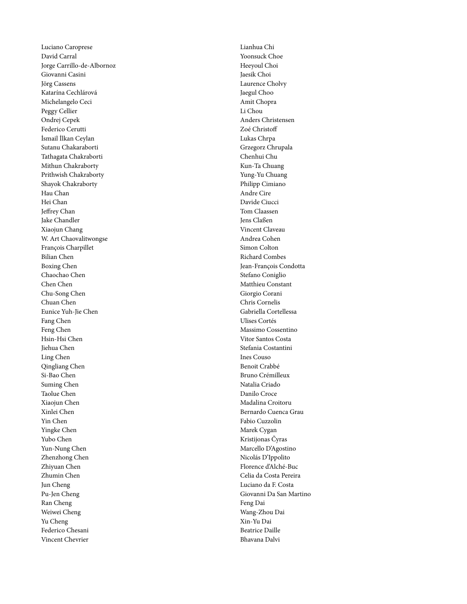Luciano Caroprese David Carral Jorge Carrillo-de-Albornoz Giovanni Casini Jörg Cassens Katarína Cechlárová Michelangelo Ceci Peggy Cellier Ondrej Cepek Federico Cerutti İsmail İlkan Ceylan Sutanu Chakaraborti Tathagata Chakraborti Mithun Chakraborty Prithwish Chakraborty Shayok Chakraborty Hau Chan Hei Chan Jeffrey Chan Jake Chandler Xiaojun Chang W. Art Chaovalitwongse François Charpillet Bilian Chen Boxing Chen Chaochao Chen Chen Chen Chu-Song Chen Chuan Chen Eunice Yuh-Jie Chen Fang Chen Feng Chen Hsin-Hsi Chen Jiehua Chen Ling Chen Qingliang Chen Si-Bao Chen Suming Chen Taolue Chen Xiaojun Chen Xinlei Chen Yin Chen Yingke Chen Yubo Chen Yun-Nung Chen Zhenzhong Chen Zhiyuan Chen Zhumin Chen Jun Cheng Pu-Jen Cheng Ran Cheng Weiwei Cheng Yu Cheng Federico Chesani Vincent Chevrier

Lianhua Chi Yoonsuck Choe Heeyoul Choi Jaesik Choi Laurence Cholvy Jaegul Choo Amit Chopra Li Chou Anders Christensen Zoé Christoff Lukas Chrpa Grzegorz Chrupala Chenhui Chu Kun-Ta Chuang Yung-Yu Chuang Philipp Cimiano Andre Cire Davide Ciucci Tom Claassen Jens Claßen Vincent Claveau Andrea Cohen Simon Colton Richard Combes Jean-François Condotta Stefano Coniglio Matthieu Constant Giorgio Corani Chris Cornelis Gabriella Cortellessa Ulises Cortés Massimo Cossentino Vitor Santos Costa Stefania Costantini Ines Couso Benoit Crabbé Bruno Crémilleux Natalia Criado Danilo Croce Madalina Croitoru Bernardo Cuenca Grau Fabio Cuzzolin Marek Cygan Kristijonas Čyras Marcello D'Agostino Nicolás D'Ippolito Florence d'Alché-Buc Celia da Costa Pereira Luciano da F. Costa Giovanni Da San Martino Feng Dai Wang-Zhou Dai Xin-Yu Dai Beatrice Daille Bhavana Dalvi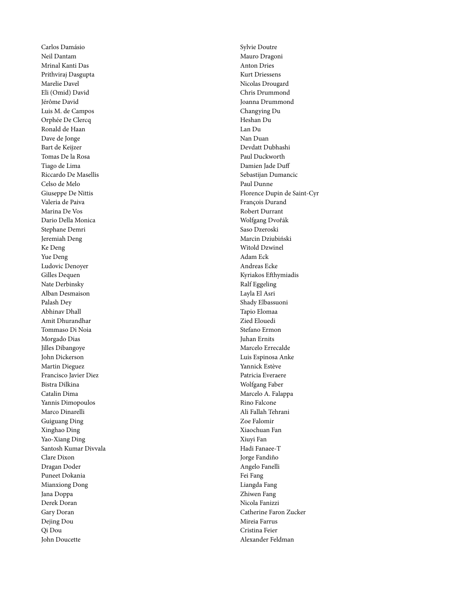Carlos Damásio Neil Dantam Mrinal Kanti Das Prithviraj Dasgupta Marelie Davel Eli (Omid) David Jérôme David Luis M. de Campos Orphée De Clercq Ronald de Haan Dave de Jonge Bart de Keijzer Tomas De la Rosa Tiago de Lima Riccardo De Masellis Celso de Melo Giuseppe De Nittis Valeria de Paiva Marina De Vos Dario Della Monica Stephane Demri Jeremiah Deng Ke Deng Yue Deng Ludovic Denoyer Gilles Dequen Nate Derbinsky Alban Desmaison Palash Dey Abhinav Dhall Amit Dhurandhar Tommaso Di Noia Morgado Dias Jilles Dibangoye John Dickerson Martin Dieguez Francisco Javier Diez Bistra Dilkina Catalin Dima Yannis Dimopoulos Marco Dinarelli Guiguang Ding Xinghao Ding Yao-Xiang Ding Santosh Kumar Divvala Clare Dixon Dragan Doder Puneet Dokania Mianxiong Dong Jana Doppa Derek Doran Gary Doran Dejing Dou Qi Dou John Doucette

Sylvie Doutre Mauro Dragoni Anton Dries Kurt Driessens Nicolas Drougard Chris Drummond Joanna Drummond Changying Du Heshan Du Lan Du Nan Duan Devdatt Dubhashi Paul Duckworth Damien Jade Duff Sebastijan Dumancic Paul Dunne Florence Dupin de Saint-Cyr François Durand Robert Durrant Wolfgang Dvořák Saso Dzeroski Marcin Dziubiński Witold Dzwinel Adam Eck Andreas Ecke Kyriakos Efthymiadis Ralf Eggeling Layla El Asri Shady Elbassuoni Tapio Elomaa Zied Elouedi Stefano Ermon Juhan Ernits Marcelo Errecalde Luis Espinosa Anke Yannick Estève Patricia Everaere Wolfgang Faber Marcelo A. Falappa Rino Falcone Ali Fallah Tehrani Zoe Falomir Xiaochuan Fan Xiuyi Fan Hadi Fanaee-T Jorge Fandiño Angelo Fanelli Fei Fang Liangda Fang Zhiwen Fang Nicola Fanizzi Catherine Faron Zucker Mireia Farrus Cristina Feier Alexander Feldman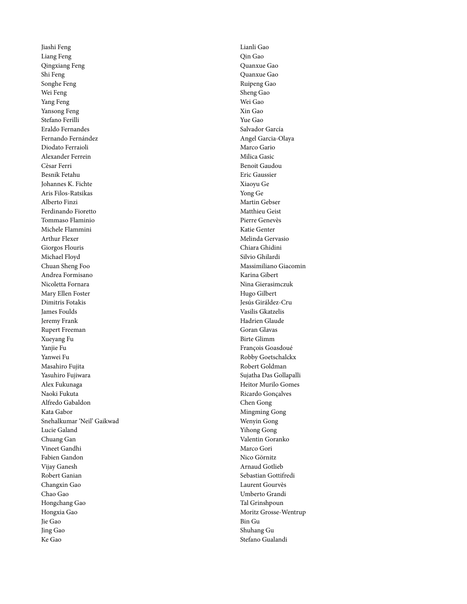Jiashi Feng Liang Feng Qingxiang Feng Shi Feng Songhe Feng Wei Feng Yang Feng Yansong Feng Stefano Ferilli Eraldo Fernandes Fernando Fernández Diodato Ferraioli Alexander Ferrein Cèsar Ferri Besnik Fetahu Johannes K. Fichte Aris Filos-Ratsikas Alberto Finzi Ferdinando Fioretto Tommaso Flaminio Michele Flammini Arthur Flexer Giorgos Flouris Michael Floyd Chuan Sheng Foo Andrea Formisano Nicoletta Fornara Mary Ellen Foster Dimitris Fotakis James Foulds Jeremy Frank Rupert Freeman Xueyang Fu Yanjie Fu Yanwei Fu Masahiro Fujita Yasuhiro Fujiwara Alex Fukunaga Naoki Fukuta Alfredo Gabaldon Kata Gabor Snehalkumar 'Neil' Gaikwad Lucie Galand Chuang Gan Vineet Gandhi Fabien Gandon Vijay Ganesh Robert Ganian Changxin Gao Chao Gao Hongchang Gao Hongxia Gao Jie Gao Jing Gao Ke Gao

Lianli Gao Qin Gao Quanxue Gao Quanxue Gao Ruipeng Gao Sheng Gao Wei Gao Xin Gao Yue Gao Salvador García Angel Garcia-Olaya Marco Gario Milica Gasic Benoit Gaudou Eric Gaussier Xiaoyu Ge Yong Ge Martin Gebser Matthieu Geist Pierre Genevès Katie Genter Melinda Gervasio Chiara Ghidini Silvio Ghilardi Massimiliano Giacomin Karina Gibert Nina Gierasimczuk Hugo Gilbert Jesús Giráldez-Cru Vasilis Gkatzelis Hadrien Glaude Goran Glavas Birte Glimm François Goasdoué Robby Goetschalckx Robert Goldman Sujatha Das Gollapalli Heitor Murilo Gomes Ricardo Gonçalves Chen Gong Mingming Gong Wenyin Gong Yihong Gong Valentin Goranko Marco Gori Nico Görnitz Arnaud Gotlieb Sebastian Gottifredi Laurent Gourvès Umberto Grandi Tal Grinshpoun Moritz Grosse-Wentrup Bin Gu Shuhang Gu Stefano Gualandi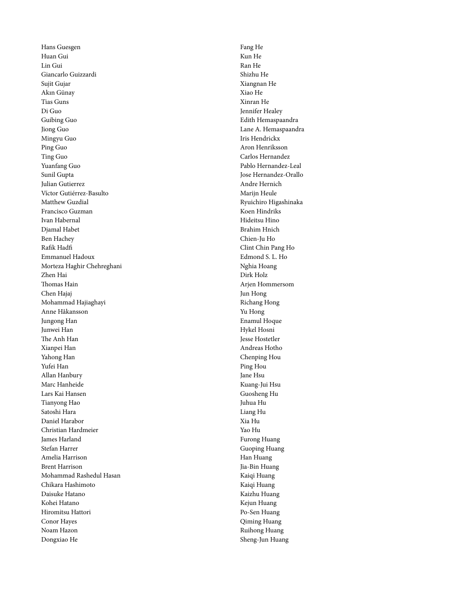Hans Guesgen Huan Gui Lin Gui Giancarlo Guizzardi Sujit Gujar Akın Günay Tias Guns Di Guo Guibing Guo Jiong Guo Mingyu Guo Ping Guo Ting Guo Yuanfang Guo Sunil Gupta Julian Gutierrez Víctor Gutiérrez-Basulto Matthew Guzdial Francisco Guzman Ivan Habernal Djamal Habet Ben Hachey Rafik Hadfi Emmanuel Hadoux Morteza Haghir Chehreghani Zhen Hai Thomas Hain Chen Hajaj Mohammad Hajiaghayi Anne Håkansson Jungong Han Junwei Han The Anh Han Xianpei Han Yahong Han Yufei Han Allan Hanbury Marc Hanheide Lars Kai Hansen Tianyong Hao Satoshi Hara Daniel Harabor Christian Hardmeier James Harland Stefan Harrer Amelia Harrison Brent Harrison Mohammad Rashedul Hasan Chikara Hashimoto Daisuke Hatano Kohei Hatano Hiromitsu Hattori Conor Hayes Noam Hazon Dongxiao He

Fang He Kun He Ran He Shizhu He Xiangnan He Xiao He Xinran He Jennifer Healey Edith Hemaspaandra Lane A. Hemaspaandra Iris Hendrickx Aron Henriksson Carlos Hernandez Pablo Hernandez-Leal Jose Hernandez-Orallo Andre Hernich Marijn Heule Ryuichiro Higashinaka Koen Hindriks Hideitsu Hino Brahim Hnich Chien-Ju Ho Clint Chin Pang Ho Edmond S. L. Ho Nghia Hoang Dirk Holz Arjen Hommersom Jun Hong Richang Hong Yu Hong Enamul Hoque Hykel Hosni Jesse Hostetler Andreas Hotho Chenping Hou Ping Hou Jane Hsu Kuang-Jui Hsu Guosheng Hu Juhua Hu Liang Hu Xia Hu Yao Hu Furong Huang Guoping Huang Han Huang Jia-Bin Huang Kaiqi Huang Kaiqi Huang Kaizhu Huang Kejun Huang Po-Sen Huang Qiming Huang Ruihong Huang Sheng-Jun Huang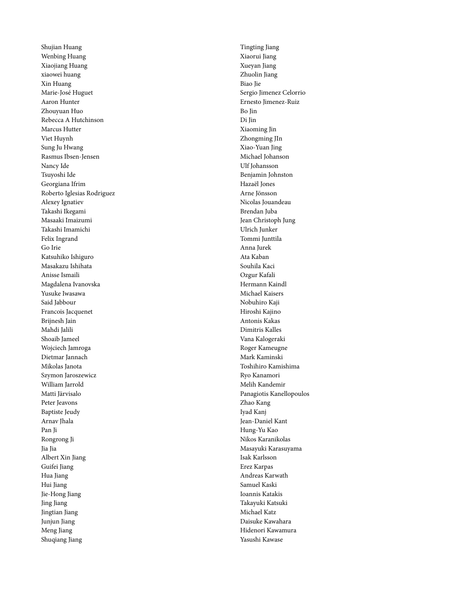Shujian Huang Wenbing Huang Xiaojiang Huang xiaowei huang Xin Huang Marie-José Huguet Aaron Hunter Zhouyuan Huo Rebecca A Hutchinson Marcus Hutter Viet Huynh Sung Ju Hwang Rasmus Ibsen-Jensen Nancy Ide Tsuyoshi Ide Georgiana Ifrim Roberto Iglesias Rodriguez Alexey Ignatiev Takashi Ikegami Masaaki Imaizumi Takashi Imamichi Felix Ingrand Go Irie Katsuhiko Ishiguro Masakazu Ishihata Anisse Ismaili Magdalena Ivanovska Yusuke Iwasawa Said Jabbour Francois Jacquenet Brijnesh Jain Mahdi Jalili Shoaib Jameel Wojciech Jamroga Dietmar Jannach Mikolas Janota Szymon Jaroszewicz William Jarrold Matti Järvisalo Peter Jeavons Baptiste Jeudy Arnav Jhala Pan Ji Rongrong Ji Jia Jia Albert Xin Jiang Guifei Jiang Hua Jiang Hui Jiang Jie-Hong Jiang Jing Jiang Jingtian Jiang Junjun Jiang Meng Jiang Shuqiang Jiang

Tingting Jiang Xiaorui Jiang Xueyan Jiang Zhuolin Jiang Biao Jie Sergio Jimenez Celorrio Ernesto Jimenez-Ruiz Bo Jin Di Jin Xiaoming Jin Zhongming JIn Xiao-Yuan Jing Michael Johanson Ulf Johansson Benjamin Johnston Hazaël Jones Arne Jönsson Nicolas Jouandeau Brendan Juba Jean Christoph Jung Ulrich Junker Tommi Junttila Anna Jurek Ata Kaban Souhila Kaci Ozgur Kafali Hermann Kaindl Michael Kaisers Nobuhiro Kaji Hiroshi Kajino Antonis Kakas Dimitris Kalles Vana Kalogeraki Roger Kameugne Mark Kaminski Toshihiro Kamishima Ryo Kanamori Melih Kandemir Panagiotis Kanellopoulos Zhao Kang Iyad Kanj Jean-Daniel Kant Hung-Yu Kao Nikos Karanikolas Masayuki Karasuyama Isak Karlsson Erez Karpas Andreas Karwath Samuel Kaski Ioannis Katakis Takayuki Katsuki Michael Katz Daisuke Kawahara Hidenori Kawamura Yasushi Kawase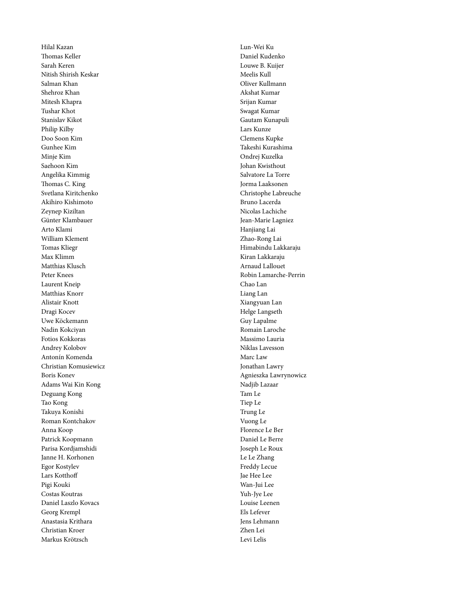Hilal Kazan Thomas Keller Sarah Keren Nitish Shirish Keskar Salman Khan Shehroz Khan Mitesh Khapra Tushar Khot Stanislav Kikot Philip Kilby Doo Soon Kim Gunhee Kim Minje Kim Saehoon Kim Angelika Kimmig Thomas C. King Svetlana Kiritchenko Akihiro Kishimoto Zeynep Kiziltan Günter Klambauer Arto Klami William Klement Tomas Kliegr Max Klimm Matthias Klusch Peter Knees Laurent Kneip Matthias Knorr Alistair Knott Dragi Kocev Uwe Köckemann Nadin Kokciyan Fotios Kokkoras Andrey Kolobov Antonín Komenda Christian Komusiewicz Boris Konev Adams Wai Kin Kong Deguang Kong Tao Kong Takuya Konishi Roman Kontchakov Anna Koop Patrick Koopmann Parisa Kordjamshidi Janne H. Korhonen Egor Kostylev Lars Kotthoff Pigi Kouki Costas Koutras Daniel Laszlo Kovacs Georg Krempl Anastasia Krithara Christian Kroer Markus Krötzsch

Lun-Wei Ku Daniel Kudenko Louwe B. Kuijer Meelis Kull Oliver Kullmann Akshat Kumar Srijan Kumar Swagat Kumar Gautam Kunapuli Lars Kunze Clemens Kupke Takeshi Kurashima Ondrej Kuzelka Johan Kwisthout Salvatore La Torre Jorma Laaksonen Christophe Labreuche Bruno Lacerda Nicolas Lachiche Jean-Marie Lagniez Hanjiang Lai Zhao-Rong Lai Himabindu Lakkaraju Kiran Lakkaraju Arnaud Lallouet Robin Lamarche-Perrin Chao Lan Liang Lan Xiangyuan Lan Helge Langseth Guy Lapalme Romain Laroche Massimo Lauria Niklas Lavesson Marc Law Jonathan Lawry Agnieszka Lawrynowicz Nadjib Lazaar Tam Le Tiep Le Trung Le Vuong Le Florence Le Ber Daniel Le Berre Joseph Le Roux Le Le Zhang Freddy Lecue Jae Hee Lee Wan-Jui Lee Yuh-Jye Lee Louise Leenen Els Lefever Jens Lehmann Zhen Lei Levi Lelis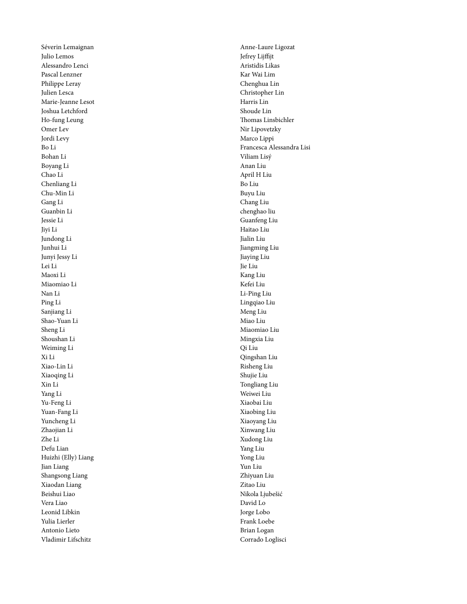Séverin Lemaignan Julio Lemos Alessandro Lenci Pascal Lenzner Philippe Leray Julien Lesca Marie-Jeanne Lesot Joshua Letchford Ho-fung Leung Omer Lev Jordi Levy Bo Li Bohan Li Boyang Li Chao Li Chenliang Li Chu-Min Li Gang Li Guanbin Li Jessie Li Jiyi Li Jundong Li Junhui Li Junyi Jessy Li Lei Li Maoxi Li Miaomiao Li Nan Li Ping Li Sanjiang Li Shao-Yuan Li Sheng Li Shoushan Li Weiming Li Xi Li Xiao-Lin Li Xiaoqing Li Xin Li Yang Li Yu-Feng Li Yuan-Fang Li Yuncheng Li Zhaojian Li Zhe Li Defu Lian Huizhi (Elly) Liang Jian Liang Shangsong Liang Xiaodan Liang Beishui Liao Vera Liao Leonid Libkin Yulia Lierler Antonio Lieto Vladimir Lifschitz

Anne-Laure Ligozat Jefrey Lijffijt Aristidis Likas Kar Wai Lim Chenghua Lin Christopher Lin Harris Lin Shoude Lin Thomas Linsbichler Nir Lipovetzky Marco Lippi Francesca Alessandra Lisi Viliam Lisý Anan Liu April H Liu Bo Liu Buyu Liu Chang Liu chenghao liu Guanfeng Liu Haitao Liu Jialin Liu Jiangming Liu Jiaying Liu Jie Liu Kang Liu Kefei Liu Li-Ping Liu Lingqiao Liu Meng Liu Miao Liu Miaomiao Liu Mingxia Liu Qi Liu Qingshan Liu Risheng Liu Shujie Liu Tongliang Liu Weiwei Liu Xiaobai Liu Xiaobing Liu Xiaoyang Liu Xinwang Liu Xudong Liu Yang Liu Yong Liu Yun Liu Zhiyuan Liu Zitao Liu Nikola Ljubešić David Lo Jorge Lobo Frank Loebe Brian Logan Corrado Loglisci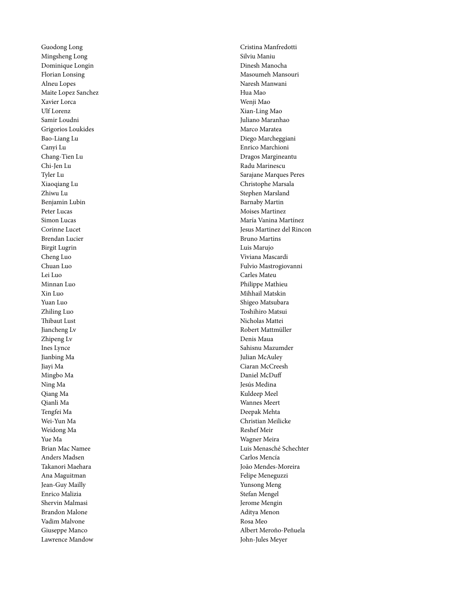Guodong Long Mingsheng Long Dominique Longin Florian Lonsing Alneu Lopes Maite Lopez Sanchez Xavier Lorca Ulf Lorenz Samir Loudni Grigorios Loukides Bao-Liang Lu Canyi Lu Chang-Tien Lu Chi-Jen Lu Tyler Lu Xiaoqiang Lu Zhiwu Lu Benjamin Lubin Peter Lucas Simon Lucas Corinne Lucet Brendan Lucier Birgit Lugrin Cheng Luo Chuan Luo Lei Luo Minnan Luo Xin Luo Yuan Luo Zhiling Luo Thibaut Lust Jiancheng Lv Zhipeng Lv Ines Lynce Jianbing Ma Jiayi Ma Mingbo Ma Ning Ma Qiang Ma Qianli Ma Tengfei Ma Wei-Yun Ma Weidong Ma Yue Ma Brian Mac Namee Anders Madsen Takanori Maehara Ana Maguitman Jean-Guy Mailly Enrico Malizia Shervin Malmasi Brandon Malone Vadim Malvone Giuseppe Manco Lawrence Mandow

Cristina Manfredotti Silviu Maniu Dinesh Manocha Masoumeh Mansouri Naresh Manwani Hua Mao Wenji Mao Xian-Ling Mao Juliano Maranhao Marco Maratea Diego Marcheggiani Enrico Marchioni Dragos Margineantu Radu Marinescu Sarajane Marques Peres Christophe Marsala Stephen Marsland Barnaby Martin Moises Martinez María Vanina Martínez Jesus Martinez del Rincon Bruno Martins Luis Marujo Viviana Mascardi Fulvio Mastrogiovanni Carles Mateu Philippe Mathieu Mihhail Matskin Shigeo Matsubara Toshihiro Matsui Nicholas Mattei Robert Mattmüller Denis Maua Sahisnu Mazumder Julian McAuley Ciaran McCreesh Daniel McDuff Jesús Medina Kuldeep Meel Wannes Meert Deepak Mehta Christian Meilicke Reshef Meir Wagner Meira Luis Menasché Schechter Carlos Mencía João Mendes-Moreira Felipe Meneguzzi Yunsong Meng Stefan Mengel Jerome Mengin Aditya Menon Rosa Meo Albert Meroño-Peñuela John-Jules Meyer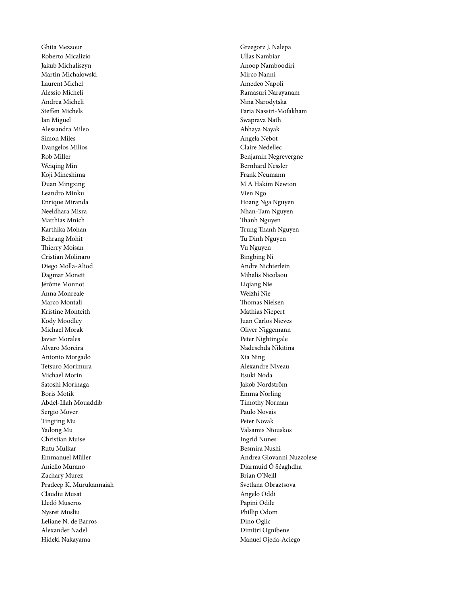Ghita Mezzour Roberto Micalizio Jakub Michaliszyn Martin Michalowski Laurent Michel Alessio Micheli Andrea Micheli Steffen Michels Ian Miguel Alessandra Mileo Simon Miles Evangelos Milios Rob Miller Weiqing Min Koji Mineshima Duan Mingxing Leandro Minku Enrique Miranda Neeldhara Misra Matthias Mnich Karthika Mohan Behrang Mohit Thierry Moisan Cristian Molinaro Diego Molla-Aliod Dagmar Monett Jérôme Monnot Anna Monreale Marco Montali Kristine Monteith Kody Moodley Michael Morak Javier Morales Alvaro Moreira Antonio Morgado Tetsuro Morimura Michael Morin Satoshi Morinaga Boris Motik Abdel-Illah Mouaddib Sergio Mover Tingting Mu Yadong Mu Christian Muise Rutu Mulkar Emmanuel Müller Aniello Murano Zachary Murez Pradeep K. Murukannaiah Claudiu Musat Lledó Museros Nysret Musliu Leliane N. de Barros Alexander Nadel Hideki Nakayama

Grzegorz J. Nalepa Ullas Nambiar Anoop Namboodiri Mirco Nanni Amedeo Napoli Ramasuri Narayanam Nina Narodytska Faria Nassiri-Mofakham Swaprava Nath Abhaya Nayak Angela Nebot Claire Nedellec Benjamin Negrevergne Bernhard Nessler Frank Neumann M A Hakim Newton Vien Ngo Hoang Nga Nguyen Nhan-Tam Nguyen Thanh Nguyen Trung Thanh Nguyen Tu Dinh Nguyen Vu Nguyen Bingbing Ni Andre Nichterlein Mihalis Nicolaou Liqiang Nie Weizhi Nie Thomas Nielsen Mathias Niepert Juan Carlos Nieves Oliver Niggemann Peter Nightingale Nadeschda Nikitina Xia Ning Alexandre Niveau Itsuki Noda Jakob Nordström Emma Norling Timothy Norman Paulo Novais Peter Novak Valsamis Ntouskos Ingrid Nunes Besmira Nushi Andrea Giovanni Nuzzolese Diarmuid Ó Séaghdha Brian O'Neill Svetlana Obraztsova Angelo Oddi Papini Odile Phillip Odom Dino Oglic Dimitri Ognibene Manuel Ojeda-Aciego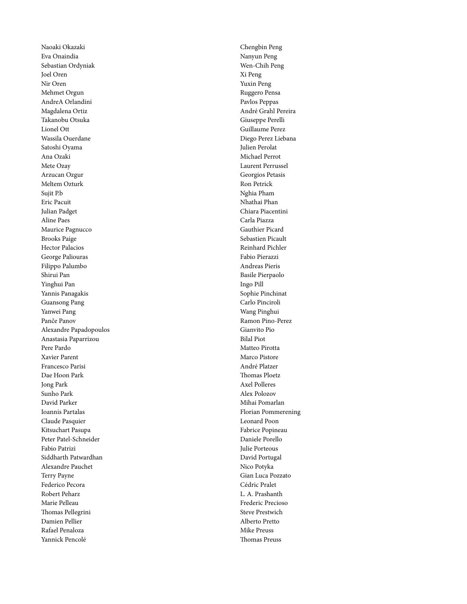Naoaki Okazaki Eva Onaindia Sebastian Ordyniak Joel Oren Nir Oren Mehmet Orgun AndreA Orlandini Magdalena Ortiz Takanobu Otsuka Lionel Ott Wassila Ouerdane Satoshi Oyama Ana Ozaki Mete Ozay Arzucan Ozgur Meltem Ozturk Sujit P.b Eric Pacuit Julian Padget Aline Paes Maurice Pagnucco Brooks Paige Hector Palacios George Paliouras Filippo Palumbo Shirui Pan Yinghui Pan Yannis Panagakis Guansong Pang Yanwei Pang Panče Panov Alexandre Papadopoulos Anastasia Paparrizou Pere Pardo Xavier Parent Francesco Parisi Dae Hoon Park Jong Park Sunho Park David Parker Ioannis Partalas Claude Pasquier Kitsuchart Pasupa Peter Patel-Schneider Fabio Patrizi Siddharth Patwardhan Alexandre Pauchet Terry Payne Federico Pecora Robert Peharz Marie Pelleau Thomas Pellegrini Damien Pellier Rafael Penaloza Yannick Pencolé

Chengbin Peng Nanyun Peng Wen-Chih Peng Xi Peng Yuxin Peng Ruggero Pensa Pavlos Peppas André Grahl Pereira Giuseppe Perelli Guillaume Perez Diego Perez Liebana Julien Perolat Michael Perrot Laurent Perrussel Georgios Petasis Ron Petrick Nghia Pham Nhathai Phan Chiara Piacentini Carla Piazza Gauthier Picard Sebastien Picault Reinhard Pichler Fabio Pierazzi Andreas Pieris Basile Pierpaolo Ingo Pill Sophie Pinchinat Carlo Pinciroli Wang Pinghui Ramon Pino-Perez Gianvito Pio Bilal Piot Matteo Pirotta Marco Pistore André Platzer Thomas Ploetz Axel Polleres Alex Polozov Mihai Pomarlan Florian Pommerening Leonard Poon Fabrice Popineau Daniele Porello Julie Porteous David Portugal Nico Potyka Gian Luca Pozzato Cédric Pralet L. A. Prashanth Frederic Precioso Steve Prestwich Alberto Pretto Mike Preuss Thomas Preuss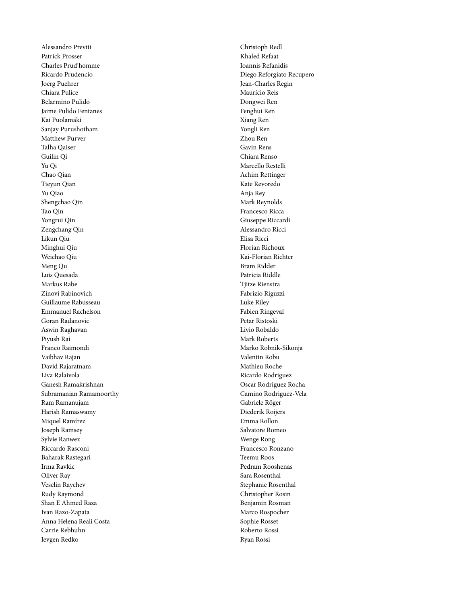Alessandro Previti Patrick Prosser Charles Prud'homme Ricardo Prudencio Joerg Puehrer Chiara Pulice Belarmino Pulido Jaime Pulido Fentanes Kai Puolamäki Sanjay Purushotham Matthew Purver Talha Qaiser Guilin Qi Yu Qi Chao Qian Tieyun Qian Yu Qiao Shengchao Qin Tao Qin Yongrui Qin Zengchang Qin Likun Qiu Minghui Qiu Weichao Qiu Meng Qu Luis Quesada Markus Rabe Zinovi Rabinovich Guillaume Rabusseau Emmanuel Rachelson Goran Radanovic Aswin Raghavan Piyush Rai Franco Raimondi Vaibhav Rajan David Rajaratnam Liva Ralaivola Ganesh Ramakrishnan Subramanian Ramamoorthy Ram Ramanujam Harish Ramaswamy Miquel Ramírez Joseph Ramsey Sylvie Ranwez Riccardo Rasconi Baharak Rastegari Irma Ravkic Oliver Ray Veselin Raychev Rudy Raymond Shan E Ahmed Raza Ivan Razo-Zapata Anna Helena Reali Costa Carrie Rebhuhn Ievgen Redko

Christoph Redl Khaled Refaat Ioannis Refanidis Diego Reforgiato Recupero Jean-Charles Regin Maurício Reis Dongwei Ren Fenghui Ren Xiang Ren Yongli Ren Zhou Ren Gavin Rens Chiara Renso Marcello Restelli Achim Rettinger Kate Revoredo Anja Rey Mark Reynolds Francesco Ricca Giuseppe Riccardi Alessandro Ricci Elisa Ricci Florian Richoux Kai-Florian Richter Bram Ridder Patricia Riddle Tjitze Rienstra Fabrizio Riguzzi Luke Riley Fabien Ringeval Petar Ristoski Livio Robaldo Mark Roberts Marko Robnik-Sikonja Valentin Robu Mathieu Roche Ricardo Rodriguez Oscar Rodriguez Rocha Camino Rodriguez-Vela Gabriele Röger Diederik Roijers Emma Rollon Salvatore Romeo Wenge Rong Francesco Ronzano Teemu Roos Pedram Rooshenas Sara Rosenthal Stephanie Rosenthal Christopher Rosin Benjamin Rosman Marco Rospocher Sophie Rosset Roberto Rossi Ryan Rossi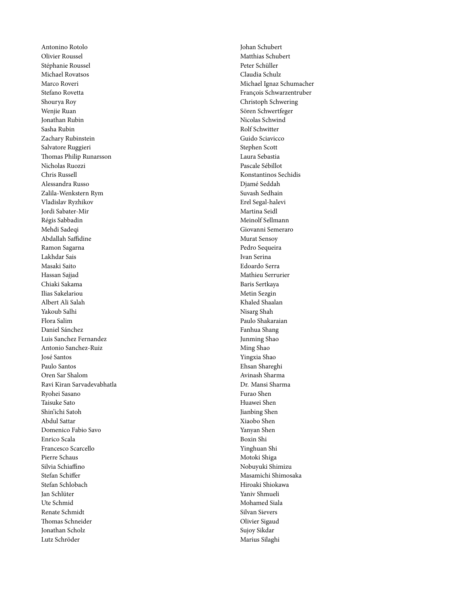Antonino Rotolo Olivier Roussel Stéphanie Roussel Michael Rovatsos Marco Roveri Stefano Rovetta Shourya Roy Wenjie Ruan Jonathan Rubin Sasha Rubin Zachary Rubinstein Salvatore Ruggieri Thomas Philip Runarsson Nicholas Ruozzi Chris Russell Alessandra Russo Zalila-Wenkstern Rym Vladislav Ryzhikov Jordi Sabater-Mir Régis Sabbadin Mehdi Sadeqi Abdallah Saffidine Ramon Sagarna Lakhdar Sais Masaki Saito Hassan Sajjad Chiaki Sakama Ilias Sakelariou Albert Ali Salah Yakoub Salhi Flora Salim Daniel Sánchez Luis Sanchez Fernandez Antonio Sanchez-Ruiz José Santos Paulo Santos Oren Sar Shalom Ravi Kiran Sarvadevabhatla Ryohei Sasano Taisuke Sato Shin'ichi Satoh Abdul Sattar Domenico Fabio Savo Enrico Scala Francesco Scarcello Pierre Schaus Silvia Schiaffino Stefan Schiffer Stefan Schlobach Jan Schlüter Ute Schmid Renate Schmidt Thomas Schneider Jonathan Scholz Lutz Schröder

Johan Schubert Matthias Schubert Peter Schüller Claudia Schulz Michael Ignaz Schumacher François Schwarzentruber Christoph Schwering Sören Schwertfeger Nicolas Schwind Rolf Schwitter Guido Sciavicco Stephen Scott Laura Sebastia Pascale Sébillot Konstantinos Sechidis Djamé Seddah Suvash Sedhain Erel Segal-halevi Martina Seidl Meinolf Sellmann Giovanni Semeraro Murat Sensoy Pedro Sequeira Ivan Serina Edoardo Serra Mathieu Serrurier Baris Sertkaya Metin Sezgin Khaled Shaalan Nisarg Shah Paulo Shakaraian Fanhua Shang Junming Shao Ming Shao Yingxia Shao Ehsan Shareghi Avinash Sharma Dr. Mansi Sharma Furao Shen Huawei Shen Jianbing Shen Xiaobo Shen Yanyan Shen Boxin Shi Yinghuan Shi Motoki Shiga Nobuyuki Shimizu Masamichi Shimosaka Hiroaki Shiokawa Yaniv Shmueli Mohamed Siala Silvan Sievers Olivier Sigaud Sujoy Sikdar Marius Silaghi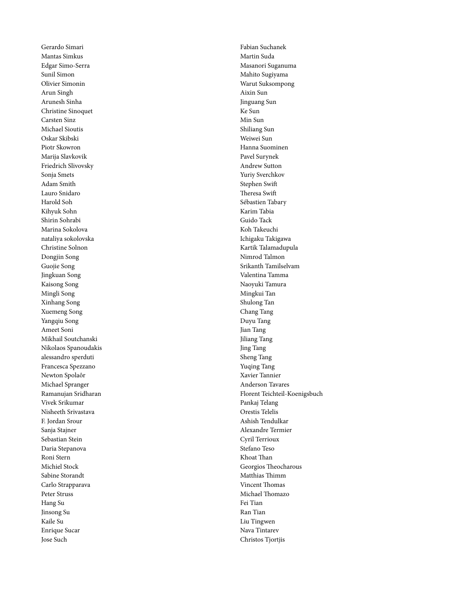Gerardo Simari Mantas Simkus Edgar Simo-Serra Sunil Simon Olivier Simonin Arun Singh Arunesh Sinha Christine Sinoquet Carsten Sinz Michael Sioutis Oskar Skibski Piotr Skowron Marija Slavkovik Friedrich Slivovsky Sonja Smets Adam Smith Lauro Snidaro Harold Soh Kihyuk Sohn Shirin Sohrabi Marina Sokolova nataliya sokolovska Christine Solnon Dongjin Song Guojie Song Jingkuan Song Kaisong Song Mingli Song Xinhang Song Xuemeng Song Yangqiu Song Ameet Soni Mikhail Soutchanski Nikolaos Spanoudakis alessandro sperduti Francesca Spezzano Newton Spolaôr Michael Spranger Ramanujan Sridharan Vivek Srikumar Nisheeth Srivastava F. Jordan Srour Sanja Stajner Sebastian Stein Daria Stepanova Roni Stern Michiel Stock Sabine Storandt Carlo Strapparava Peter Struss Hang Su Jinsong Su Kaile Su Enrique Sucar Jose Such

Fabian Suchanek Martin Suda Masanori Suganuma Mahito Sugiyama Warut Suksompong Aixin Sun Jinguang Sun Ke Sun Min Sun Shiliang Sun Weiwei Sun Hanna Suominen Pavel Surynek Andrew Sutton Yuriy Sverchkov Stephen Swift Theresa Swift Sébastien Tabary Karim Tabia Guido Tack Koh Takeuchi Ichigaku Takigawa Kartik Talamadupula Nimrod Talmon Srikanth Tamilselvam Valentina Tamma Naoyuki Tamura Mingkui Tan Shulong Tan Chang Tang Duyu Tang Jian Tang Jiliang Tang Jing Tang Sheng Tang Yuqing Tang Xavier Tannier Anderson Tavares Florent Teichteil-Koenigsbuch Pankaj Telang Orestis Telelis Ashish Tendulkar Alexandre Termier Cyril Terrioux Stefano Teso Khoat Than Georgios Theocharous Matthias Thimm Vincent Thomas Michael Thomazo Fei Tian Ran Tian Liu Tingwen Nava Tintarev Christos Tjortjis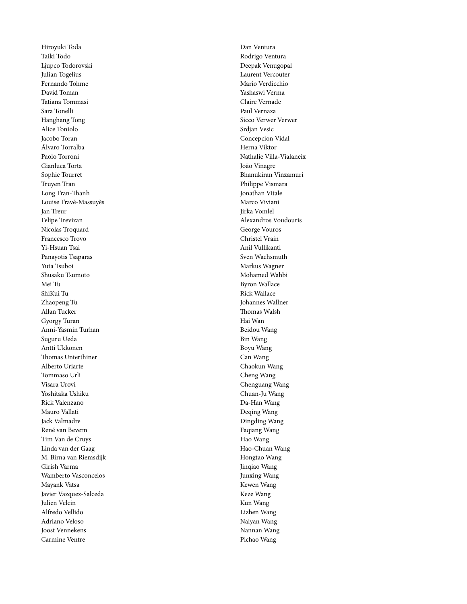Hiroyuki Toda Taiki Todo Ljupco Todorovski Julian Togelius Fernando Tohme David Toman Tatiana Tommasi Sara Tonelli Hanghang Tong Alice Toniolo Jacobo Toran Álvaro Torralba Paolo Torroni Gianluca Torta Sophie Tourret Truyen Tran Long Tran-Thanh Louise Travé-Massuyès Jan Treur Felipe Trevizan Nicolas Troquard Francesco Trovo Yi-Hsuan Tsai Panayotis Tsaparas Yuta Tsuboi Shusaku Tsumoto Mei Tu ShiKui Tu Zhaopeng Tu Allan Tucker Gyorgy Turan Anni-Yasmin Turhan Suguru Ueda Antti Ukkonen Thomas Unterthiner Alberto Uriarte Tommaso Urli Visara Urovi Yoshitaka Ushiku Rick Valenzano Mauro Vallati Jack Valmadre René van Bevern Tim Van de Cruys Linda van der Gaag M. Birna van Riemsdijk Girish Varma Wamberto Vasconcelos Mayank Vatsa Javier Vazquez-Salceda Julien Velcin Alfredo Vellido Adriano Veloso Joost Vennekens Carmine Ventre

Dan Ventura Rodrigo Ventura Deepak Venugopal Laurent Vercouter Mario Verdicchio Yashaswi Verma Claire Vernade Paul Vernaza Sicco Verwer Verwer Srdjan Vesic Concepcion Vidal Herna Viktor Nathalie Villa-Vialaneix João Vinagre Bhanukiran Vinzamuri Philippe Vismara Jonathan Vitale Marco Viviani Jirka Vomlel Alexandros Voudouris George Vouros Christel Vrain Anil Vullikanti Sven Wachsmuth Markus Wagner Mohamed Wahbi Byron Wallace Rick Wallace Johannes Wallner Thomas Walsh Hai Wan Beidou Wang Bin Wang Boyu Wang Can Wang Chaokun Wang Cheng Wang Chenguang Wang Chuan-Ju Wang Da-Han Wang Deqing Wang Dingding Wang Faqiang Wang Hao Wang Hao-Chuan Wang Hongtao Wang Jinqiao Wang Junxing Wang Kewen Wang Keze Wang Kun Wang Lizhen Wang Naiyan Wang Nannan Wang Pichao Wang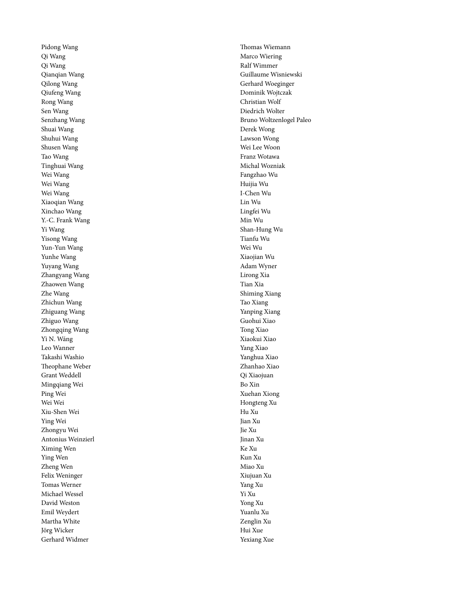Pidong Wang Qi Wang Qi Wang Qianqian Wang Qilong Wang Qiufeng Wang Rong Wang Sen Wang Senzhang Wang Shuai Wang Shuhui Wang Shusen Wang Tao Wang Tinghuai Wang Wei Wang Wei Wang Wei Wang Xiaoqian Wang Xinchao Wang Y.-C. Frank Wang Yi Wang Yisong Wang Yun-Yun Wang Yunhe Wang Yuyang Wang Zhangyang Wang Zhaowen Wang Zhe Wang Zhichun Wang Zhiguang Wang Zhiguo Wang Zhongqing Wang Yì N. Wáng Leo Wanner Takashi Washio Theophane Weber Grant Weddell Mingqiang Wei Ping Wei Wei Wei Xiu-Shen Wei Ying Wei Zhongyu Wei Antonius Weinzierl Ximing Wen Ying Wen Zheng Wen Felix Weninger Tomas Werner Michael Wessel David Weston Emil Weydert Martha White Jörg Wicker Gerhard Widmer

Thomas Wiemann Marco Wiering Ralf Wimmer Guillaume Wisniewski Gerhard Woeginger Dominik Wojtczak Christian Wolf Diedrich Wolter Bruno Woltzenlogel Paleo Derek Wong Lawson Wong Wei Lee Woon Franz Wotawa Michal Wozniak Fangzhao Wu Huijia Wu I-Chen Wu Lin Wu Lingfei Wu Min Wu Shan-Hung Wu Tianfu Wu Wei Wu Xiaojian Wu Adam Wyner Lirong Xia Tian Xia Shiming Xiang Tao Xiang Yanping Xiang Guohui Xiao Tong Xiao Xiaokui Xiao Yang Xiao Yanghua Xiao Zhanhao Xiao Qi Xiaojuan Bo Xin Xuehan Xiong Hongteng Xu Hu Xu Jian Xu Jie Xu Jinan Xu Ke Xu Kun Xu Miao Xu Xiujuan Xu Yang Xu Yi Xu Yong Xu Yuanlu Xu Zenglin Xu Hui Xue Yexiang Xue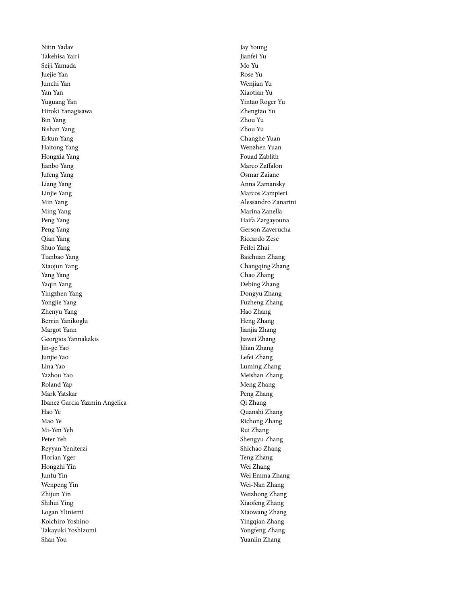Nitin Yadav Takehisa Yairi Seiji Yamada Juejie Yan Junchi Yan Yan Yan Yuguang Yan Hiroki Yanagisawa Bin Yang Bishan Yang Erkun Yang Haitong Yang Hongxia Yang Jianbo Yang Jufeng Yang Liang Yang Linjie Yang Min Yang Ming Yang Peng Yang Peng Yang Qian Yang Shuo Yang Tianbao Yang Xiaojun Yang Yang Yang Yaqin Yang Yingzhen Yang Yongjie Yang Zhenyu Yang Berrin Yanikoglu Margot Yann Georgios Yannakakis Jin-ge Yao Junjie Yao Lina Yao Yazhou Yao Roland Yap Mark Yatskar Ibanez Garcia Yazmin Angelica Hao Ye Mao Ye Mi-Yen Yeh Peter Yeh Reyyan Yeniterzi Florian Yger Hongzhi Yin Junfu Yin Wenpeng Yin Zhijun Yin Shihui Ying Logan Yliniemi Koichiro Yoshino Takayuki Yoshizumi Shan You

Jay Young Jianfei Yu Mo Yu Rose Yu Wenjian Yu Xiaotian Yu Yintao Roger Yu Zhengtao Yu Zhou Yu Zhou Yu Changhe Yuan Wenzhen Yuan Fouad Zablith Marco Zaffalon Osmar Zaiane Anna Zamansky Marcos Zampieri Alessandro Zanarini Marina Zanella Haifa Zargayouna Gerson Zaverucha Riccardo Zese Feifei Zhai Baichuan Zhang Changqing Zhang Chao Zhang Debing Zhang Dongyu Zhang Fuzheng Zhang Hao Zhang Heng Zhang Jianjia Zhang Jiawei Zhang Jilian Zhang Lefei Zhang Luming Zhang Meishan Zhang Meng Zhang Peng Zhang Qi Zhang Quanshi Zhang Richong Zhang Rui Zhang Shengyu Zhang Shichao Zhang Teng Zhang Wei Zhang Wei Emma Zhang Wei-Nan Zhang Weizhong Zhang Xiaofeng Zhang Xiaowang Zhang Yingqian Zhang Yongfeng Zhang Yuanlin Zhang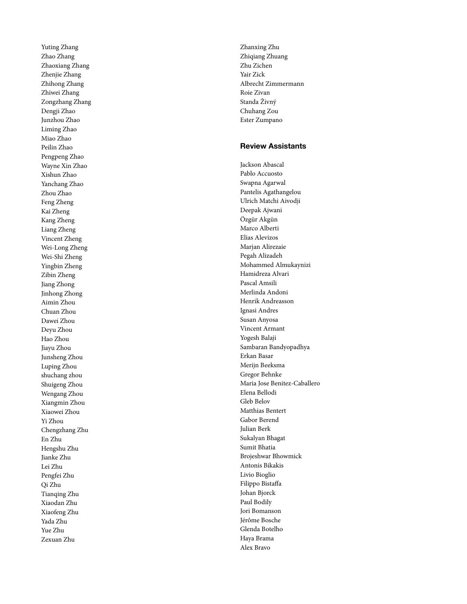Yuting Zhang Zhao Zhang Zhaoxiang Zhang Zhenjie Zhang Zhihong Zhang Zhiwei Zhang Zongzhang Zhang Dengji Zhao Junzhou Zhao Liming Zhao Miao Zhao Peilin Zhao Pengpeng Zhao Wayne Xin Zhao Xishun Zhao Yanchang Zhao Zhou Zhao Feng Zheng Kai Zheng Kang Zheng Liang Zheng Vincent Zheng Wei-Long Zheng Wei-Shi Zheng Yingbin Zheng Zibin Zheng Jiang Zhong Jinhong Zhong Aimin Zhou Chuan Zhou Dawei Zhou Deyu Zhou Hao Zhou Jiayu Zhou Junsheng Zhou Luping Zhou shuchang zhou Shuigeng Zhou Wengang Zhou Xiangmin Zhou Xiaowei Zhou Yi Zhou Chengzhang Zhu En Zhu Hengshu Zhu Jianke Zhu Lei Zhu Pengfei Zhu Qi Zhu Tianqing Zhu Xiaodan Zhu Xiaofeng Zhu Yada Zhu Yue Zhu Zexuan Zhu

Zhanxing Zhu Zhiqiang Zhuang Zhu Zichen Yair Zick Albrecht Zimmermann Roie Zivan Standa Živný Chuhang Zou Ester Zumpano

#### **Review Assistants**

Jackson Abascal Pablo Accuosto Swapna Agarwal Pantelis Agathangelou Ulrich Matchi Aivodji Deepak Ajwani Özgür Akgün Marco Alberti Elias Alevizos Marjan Alirezaie Pegah Alizadeh Mohammed Almukaynizi Hamidreza Alvari Pascal Amsili Merlinda Andoni Henrik Andreasson Ignasi Andres Susan Anyosa Vincent Armant Yogesh Balaji Sambaran Bandyopadhya Erkan Basar Merijn Beeksma Gregor Behnke Maria Jose Benitez-Caballero Elena Bellodi Gleb Belov Matthias Bentert Gabor Berend Julian Berk Sukalyan Bhagat Sumit Bhatia Brojeshwar Bhowmick Antonis Bikakis Livio Bioglio Filippo Bistaffa Johan Bjorck Paul Bodily Jori Bomanson Jérôme Bosche Glenda Botelho Haya Brama Alex Bravo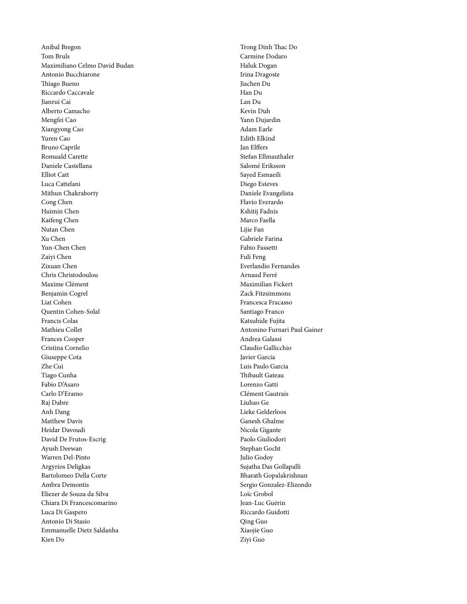Anibal Bregon Tom Bruls Maximiliano Celmo David Budan Antonio Bucchiarone Thiago Bueno Riccardo Caccavale Jianrui Cai Alberto Camacho Mengfei Cao Xiangyong Cao Yuren Cao Bruno Caprile Romuald Carette Daniele Castellana Elliot Catt Luca Cattelani Mithun Chakraborty Cong Chen Huimin Chen Kaifeng Chen Nutan Chen Xu Chen Yun-Chen Chen Zaiyi Chen Zixuan Chen Chris Christodoulou Maxime Clément Benjamin Cogrel Liat Cohen Quentin Cohen-Solal Francis Colas Mathieu Collet Frances Cooper Cristina Cornelio Giuseppe Cota Zhe Cui Tiago Cunha Fabio D'Asaro Carlo D'Eramo Raj Dabre Anh Dang Matthew Davis Heidar Davoudi David De Frutos-Escrig Ayush Deewan Warren Del-Pinto Argyrios Deligkas Bartolomeo Della Corte Ambra Demontis Eliezer de Souza da Silva Chiara Di Francescomarino Luca Di Gaspero Antonio Di Stasio Emmanuelle Dietz Saldanha Kien Do

Trong Dinh Thac Do Carmine Dodaro Haluk Dogan Irina Dragoste Jiachen Du Han Du Lan Du Kevin Duh Yann Dujardin Adam Earle Edith Elkind Jan Elffers Stefan Ellmauthaler Salomé Eriksson Sayed Esmaeili Diego Esteves Daniele Evangelista Flavio Everardo Kshitij Fadnis Marco Faella Lijie Fan Gabriele Farina Fabio Fassetti Fuli Feng Everlandio Fernandes Arnaud Ferré Maximilian Fickert Zack Fitzsimmons Francesca Fracasso Santiago Franco Katsuhide Fujita Antonino Furnari Paul Gainer Andrea Galassi Claudio Gallicchio Javier Garcia Luis Paulo Garcia Thibault Gateau Lorenzo Gatti Clément Gautrais Liuhao Ge Lieke Gelderloos Ganesh Ghalme Nicola Gigante Paolo Giuliodori Stephan Gocht Julio Godoy Sujatha Das Gollapalli Bharath Gopalakrishnan Sergio Gonzalez-Elizondo Loïc Grobol Jean-Luc Guérin Riccardo Guidotti Qing Guo Xiaojie Guo Ziyi Guo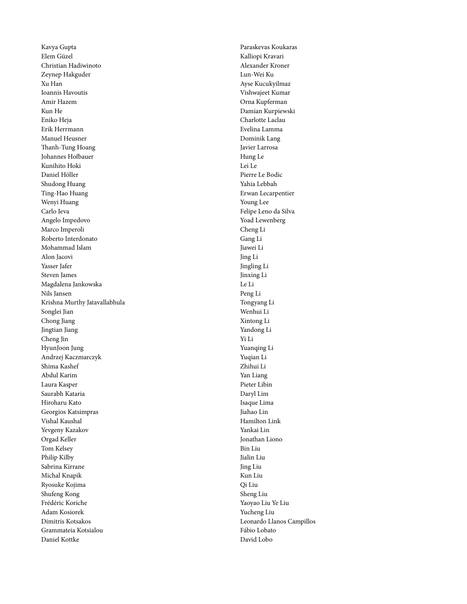Kavya Gupta Elem Güzel Christian Hadiwinoto Zeynep Hakguder Xu Han Ioannis Havoutis Amir Hazem Kun He Eniko Heja Erik Herrmann Manuel Heusner Thanh-Tung Hoang Johannes Hofbauer Kunihito Hoki Daniel Höller Shudong Huang Ting-Hao Huang Wenyi Huang Carlo Ieva Angelo Impedovo Marco Imperoli Roberto Interdonato Mohammad Islam Alon Jacovi Yasser Jafer Steven James Magdalena Jankowska Nils Jansen Krishna Murthy Jatavallabhula Songlei Jian Chong Jiang Jingtian Jiang Cheng Jin HyunJoon Jung Andrzej Kaczmarczyk Shima Kashef Abdul Karim Laura Kasper Saurabh Kataria Hiroharu Kato Georgios Katsimpras Vishal Kaushal Yevgeny Kazakov Orgad Keller Tom Kelsey Philip Kilby Sabrina Kirrane Michal Knapik Ryosuke Kojima Shufeng Kong Frédéric Koriche Adam Kosiorek Dimitris Kotsakos Grammateia Kotsialou Daniel Kottke

Paraskevas Koukaras Kalliopi Kravari Alexander Kroner Lun-Wei Ku Ayse Kucukyilmaz Vishwajeet Kumar Orna Kupferman Damian Kurpiewski Charlotte Laclau Evelina Lamma Dominik Lang Javier Larrosa Hung Le Lei Le Pierre Le Bodic Yahia Lebbah Erwan Lecarpentier Young Lee Felipe Leno da Silva Yoad Lewenberg Cheng Li Gang Li Jiawei Li Jing Li Jingling Li Jinxing Li Le Li Peng Li Tongyang Li Wenhui Li Xintong Li Yandong Li Yi Li Yuanqing Li Yuqian Li Zhihui Li Yan Liang Pieter Libin Daryl Lim Isaque Lima Jiahao Lin Hamilton Link Yankai Lin Jonathan Liono Bin Liu Jialin Liu Jing Liu Kun Liu Qi Liu Sheng Liu Yaoyao Liu Ye Liu Yucheng Liu Leonardo Llanos Campillos Fábio Lobato David Lobo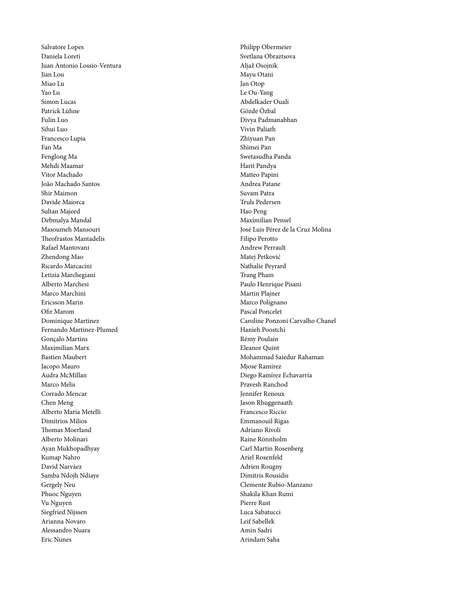Salvatore Lopes Daniela Loreti Juan Antonio Lossio-Ventura Jian Lou Miao Lu Yao Lu Simon Lucas Patrick Lühne Fulin Luo Sihui Luo Francesco Lupia Fan Ma Fenglong Ma Mehdi Maamar Vitor Machado João Machado Santos Shir Maimon Davide Maiorca Sultan Majeed Debmalya Mandal Masoumeh Mansouri Theofrastos Mantadelis Rafael Mantovani Zhendong Mao Ricardo Marcacini Letizia Marchegiani Alberto Marchesi Marco Marchini Ericsson Marin Ofir Marom Dominique Martinez Fernando Martinez-Plumed Gonçalo Martins Maximilian Marx Bastien Maubert Jacopo Mauro Audra McMillan Marco Melis Corrado Mencar Chen Meng Alberto Maria Metelli Dimitrios Milios Thomas Moerland Alberto Molinari Ayan Mukhopadhyay Kumap Nahro David Narváez Samba Ndojh Ndiaye Gergely Neu Phuoc Nguyen Vu Nguyen Siegfried Nijssen Arianna Novaro Alessandro Nuara Eric Nunes

Philipp Obermeier Svetlana Obraztsova Aljaž Osojnik Mayu Otani Jan Otop Le Ou-Yang Abdelkader Ouali Gözde Özbal Divya Padmanabhan Vivin Paliath Zhiyuan Pan Shimei Pan Swetasudha Panda Harit Pandya Matteo Papini Andrea Patane Suvam Patra Truls Pedersen Hao Peng Maximilian Pensel José Luis Pérez de la Cruz Molina Filipo Perotto Andrew Perrault Matej Petković Nathalie Peyrard Trang Pham Paulo Henrique Pisani Martin Plajner Marco Polignano Pascal Poncelet Caroline Ponzoni Carvalho Chanel Hanieh Poostchi Rémy Poulain Eleanor Quint Mohammad Saiedur Rahaman Mjose Ramirez Diego Ramírez Echavarría Pravesh Ranchod Jennifer Renoux Jason Rhuggenaath Francesco Riccio Emmanouil Rigas Adriano Rivoli Raine Rönnholm Carl Martin Rosenberg Ariel Rosenfeld Adrien Rougny Dimitris Rousidis Clemente Rubio-Manzano Shakila Khan Rumi Pierre Rust Luca Sabatucci Leif Sabellek Amin Sadri Arindam Saha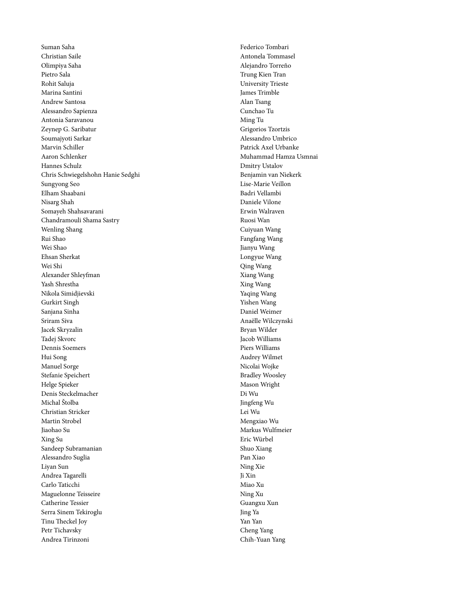Suman Saha Christian Saile Olimpiya Saha Pietro Sala Rohit Saluja Marina Santini Andrew Santosa Alessandro Sapienza Antonia Saravanou Zeynep G. Saribatur Soumajyoti Sarkar Marvin Schiller Aaron Schlenker Hannes Schulz Chris Schwiegelshohn Hanie Sedghi Sungyong Seo Elham Shaabani Nisarg Shah Somayeh Shahsavarani Chandramouli Shama Sastry Wenling Shang Rui Shao Wei Shao Ehsan Sherkat Wei Shi Alexander Shleyfman Yash Shrestha Nikola Simidjievski Gurkirt Singh Sanjana Sinha Sriram Siva Jacek Skryzalin Tadej Skvorc Dennis Soemers Hui Song Manuel Sorge Stefanie Speichert Helge Spieker Denis Steckelmacher Michal Štolba Christian Stricker Martin Strobel Jiaohao Su Xing Su Sandeep Subramanian Alessandro Suglia Liyan Sun Andrea Tagarelli Carlo Taticchi Maguelonne Teisseire Catherine Tessier Serra Sinem Tekiroglu Tinu Theckel Joy Petr Tichavsky Andrea Tirinzoni

Federico Tombari Antonela Tommasel Alejandro Torreño Trung Kien Tran University Trieste James Trimble Alan Tsang Cunchao Tu Ming Tu Grigorios Tzortzis Alessandro Umbrico Patrick Axel Urbanke Muhammad Hamza Usmnai Dmitry Ustalov Benjamin van Niekerk Lise-Marie Veillon Badri Vellambi Daniele Vilone Erwin Walraven Ruosi Wan Cuiyuan Wang Fangfang Wang Jianyu Wang Longyue Wang Qing Wang Xiang Wang Xing Wang Yaqing Wang Yishen Wang Daniel Weimer Anaëlle Wilczynski Bryan Wilder Jacob Williams Piers Williams Audrey Wilmet Nicolai Wojke Bradley Woosley Mason Wright Di Wu Jingfeng Wu Lei Wu Mengxiao Wu Markus Wulfmeier Eric Würbel Shuo Xiang Pan Xiao Ning Xie Ji Xin Miao Xu Ning Xu Guangxu Xun Jing Ya Yan Yan Cheng Yang Chih-Yuan Yang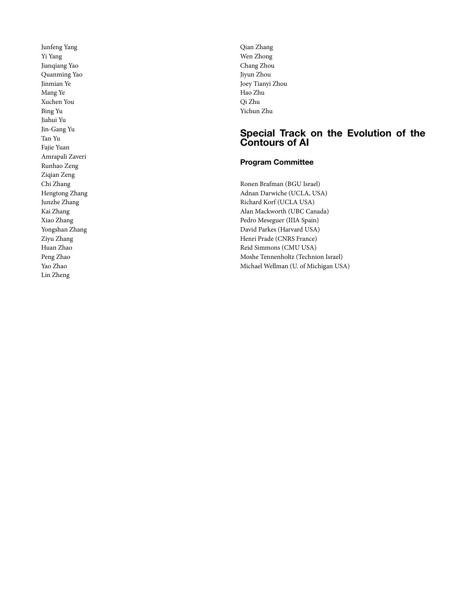Junfeng Yang Yi Yang Jianqiang Yao Quanming Yao Jinmian Ye Mang Ye Xuchen You Bing Yu Jiahui Yu Jin-Gang Yu Tan Yu Fajie Yuan Amrapali Zaveri Runhao Zeng Ziqian Zeng Chi Zhang Hengtong Zhang Junzhe Zhang Kai Zhang Xiao Zhang Yongshan Zhang Ziyu Zhang Huan Zhao Peng Zhao Yao Zhao Lin Zheng

Qian Zhang Wen Zhong Chang Zhou Jiyun Zhou Joey Tianyi Zhou Hao Zhu Qi Zhu Yichun Zhu

### **Special Track on the Evolution of the Contours of AI**

#### **Program Committee**

Ronen Brafman (BGU Israel) Adnan Darwiche (UCLA, USA) Richard Korf (UCLA USA) Alan Mackworth (UBC Canada) Pedro Meseguer (IIIA Spain) David Parkes (Harvard USA) Henri Prade (CNRS France) Reid Simmons (CMU USA) Moshe Tennenholtz (Technion Israel) Michael Wellman (U. of Michigan USA)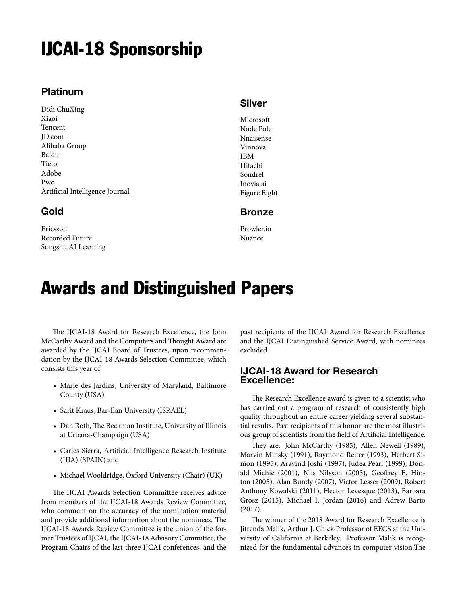# IJCAI-18 Sponsorship

## **Platinum**

Didi ChuXing Xiaoi Tencent JD.com Alibaba Group Baidu Tieto Adobe Pwc Artificial Intelligence Journal

## **Gold**

Ericsson Recorded Future Songshu AI Learning

### **Silver**

Microsoft Node Pole Nnaisense Vinnova IBM Hitachi Sondrel Inovia ai Figure Eight

#### **Bronze**

Prowler io Nuance

# Awards and Distinguished Papers

The IJCAI-18 Award for Research Excellence, the John McCarthy Award and the Computers and Thought Award are awarded by the IJCAI Board of Trustees, upon recommendation by the IJCAI-18 Awards Selection Committee, which consists this year of

- Marie des Jardins, University of Maryland, Baltimore County (USA)
- Sarit Kraus, Bar-Ilan University (ISRAEL)
- Dan Roth, The Beckman Institute, University of Illinois at Urbana-Champaign (USA)
- Carles Sierra, Artificial Intelligence Research Institute (IIIA) (SPAIN) and
- Michael Wooldridge, Oxford University (Chair) (UK)

The IJCAI Awards Selection Committee receives advice from members of the IJCAI-18 Awards Review Committee, who comment on the accuracy of the nomination material and provide additional information about the nominees. The IJCAI-18 Awards Review Committee is the union of the former Trustees of IJCAI, the IJCAI-18 Advisory Committee, the Program Chairs of the last three IJCAI conferences, and the past recipients of the IJCAI Award for Research Excellence and the IJCAI Distinguished Service Award, with nominees excluded.

### **IJCAI-18 Award for Research Excellence:**

The Research Excellence award is given to a scientist who has carried out a program of research of consistently high quality throughout an entire career yielding several substantial results. Past recipients of this honor are the most illustrious group of scientists from the field of Artificial Intelligence.

They are: John McCarthy (1985), Allen Newell (1989), Marvin Minsky (1991), Raymond Reiter (1993), Herbert Simon (1995), Aravind Joshi (1997), Judea Pearl (1999), Donald Michie (2001), Nils Nilsson (2003), Geoffrey E. Hinton (2005), Alan Bundy (2007), Victor Lesser (2009), Robert Anthony Kowalski (2011), Hector Levesque (2013), Barbara Grosz (2015), Michael I. Jordan (2016) and Adrew Barto (2017).

The winner of the 2018 Award for Research Excellence is Jitrenda Malik, Arthur J. Chick Professor of EECS at the University of California at Berkeley. Professor Malik is recognized for the fundamental advances in computer vision.The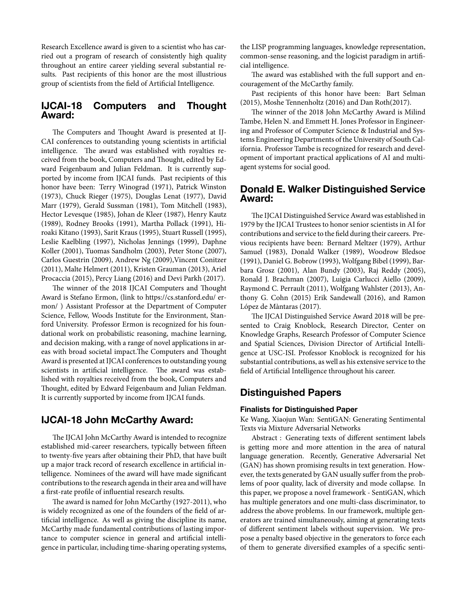Research Excellence award is given to a scientist who has carried out a program of research of consistently high quality throughout an entire career yielding several substantial results. Past recipients of this honor are the most illustrious group of scientists from the field of Artificial Intelligence.

#### **IJCAI-18 Computers and Thought Award:**

The Computers and Thought Award is presented at IJ-CAI conferences to outstanding young scientists in artificial intelligence. The award was established with royalties received from the book, Computers and Thought, edited by Edward Feigenbaum and Julian Feldman. It is currently supported by income from IJCAI funds. Past recipients of this honor have been: Terry Winograd (1971), Patrick Winston (1973), Chuck Rieger (1975), Douglas Lenat (1977), David Marr (1979), Gerald Sussman (1981), Tom Mitchell (1983), Hector Levesque (1985), Johan de Kleer (1987), Henry Kautz (1989), Rodney Brooks (1991), Martha Pollack (1991), Hiroaki Kitano (1993), Sarit Kraus (1995), Stuart Russell (1995), Leslie Kaelbling (1997), Nicholas Jennings (1999), Daphne Koller (2001), Tuomas Sandholm (2003), Peter Stone (2007), Carlos Guestrin (2009), Andrew Ng (2009),Vincent Conitzer (2011), Malte Helmert (2011), Kristen Grauman (2013), Ariel Procaccia (2015), Percy Liang (2016) and Devi Parkh (2017).

The winner of the 2018 IJCAI Computers and Thought Award is Stefano Ermon, (link to https://cs.stanford.edu/ ermon/ ) Assistant Professor at the Department of Computer Science, Fellow, Woods Institute for the Environment, Stanford University. Professor Ermon is recognized for his foundational work on probabilistic reasoning, machine learning, and decision making, with a range of novel applications in areas with broad societal impact.The Computers and Thought Award is presented at IJCAI conferences to outstanding young scientists in artificial intelligence. The award was established with royalties received from the book, Computers and Thought, edited by Edward Feigenbaum and Julian Feldman. It is currently supported by income from IJCAI funds.

### **IJCAI-18 John McCarthy Award:**

The IJCAI John McCarthy Award is intended to recognize established mid-career researchers, typically between fifteen to twenty-five years after obtaining their PhD, that have built up a major track record of research excellence in artificial intelligence. Nominees of the award will have made significant contributions to the research agenda in their area and will have a first-rate profile of influential research results.

The award is named for John McCarthy (1927-2011), who is widely recognized as one of the founders of the field of artificial intelligence. As well as giving the discipline its name, McCarthy made fundamental contributions of lasting importance to computer science in general and artificial intelligence in particular, including time-sharing operating systems, the LISP programming languages, knowledge representation, common-sense reasoning, and the logicist paradigm in artificial intelligence.

The award was established with the full support and encouragement of the McCarthy family.

Past recipients of this honor have been: Bart Selman (2015), Moshe Tennenholtz (2016) and Dan Roth(2017).

The winner of the 2018 John McCarthy Award is Milind Tambe, Helen N. and Emmett H. Jones Professor in Engineering and Professor of Computer Science & Industrial and Systems Engineering Departments of the University of South California. Professor Tambe is recognized for research and development of important practical applications of AI and multiagent systems for social good.

#### **Donald E. Walker Distinguished Service Award:**

The IJCAI Distinguished Service Award was established in 1979 by the IJCAI Trustees to honor senior scientists in AI for contributions and service to the field during their careers. Previous recipients have been: Bernard Meltzer (1979), Arthur Samuel (1983), Donald Walker (1989), Woodrow Bledsoe (1991), Daniel G. Bobrow (1993), Wolfgang Bibel (1999), Barbara Grosz (2001), Alan Bundy (2003), Raj Reddy (2005), Ronald J. Brachman (2007), Luigia Carlucci Aiello (2009), Raymond C. Perrault (2011), Wolfgang Wahlster (2013), Anthony G. Cohn (2015) Erik Sandewall (2016), and Ramon López de Màntaras (2017).

The IJCAI Distinguished Service Award 2018 will be presented to Craig Knoblock, Research Director, Center on Knowledge Graphs, Research Professor of Computer Science and Spatial Sciences, Division Director of Artificial Intelligence at USC-ISI. Professor Knoblock is recognized for his substantial contributions, as well as his extensive service to the field of Artificial Intelligence throughout his career.

### **Distinguished Papers**

#### **Finalists for Distinguished Paper**

Ke Wang, Xiaojun Wan: SentiGAN: Generating Sentimental Texts via Mixture Adversarial Networks

Abstract : Generating texts of different sentiment labels is getting more and more attention in the area of natural language generation. Recently, Generative Adversarial Net (GAN) has shown promising results in text generation. However, the texts generated by GAN usually suffer from the problems of poor quality, lack of diversity and mode collapse. In this paper, we propose a novel framework - SentiGAN, which has multiple generators and one multi-class discriminator, to address the above problems. In our framework, multiple generators are trained simultaneously, aiming at generating texts of different sentiment labels without supervision. We propose a penalty based objective in the generators to force each of them to generate diversified examples of a specific senti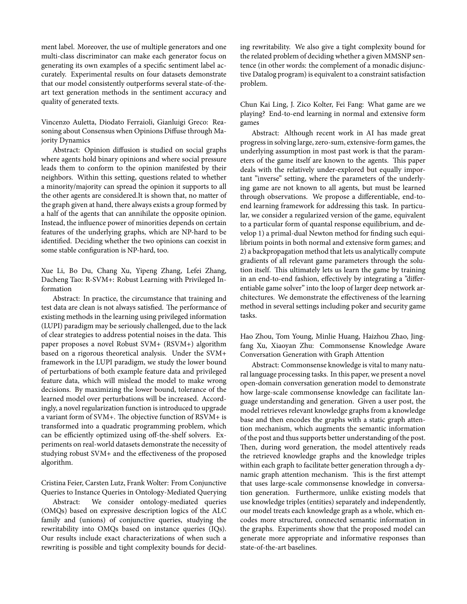ment label. Moreover, the use of multiple generators and one multi-class discriminator can make each generator focus on generating its own examples of a specific sentiment label accurately. Experimental results on four datasets demonstrate that our model consistently outperforms several state-of-theart text generation methods in the sentiment accuracy and quality of generated texts.

Vincenzo Auletta, Diodato Ferraioli, Gianluigi Greco: Reasoning about Consensus when Opinions Diffuse through Majority Dynamics

Abstract: Opinion diffusion is studied on social graphs where agents hold binary opinions and where social pressure leads them to conform to the opinion manifested by their neighbors. Within this setting, questions related to whether a minority/majority can spread the opinion it supports to all the other agents are considered.It is shown that, no matter of the graph given at hand, there always exists a group formed by a half of the agents that can annihilate the opposite opinion. Instead, the influence power of minorities depends on certain features of the underlying graphs, which are NP-hard to be identified. Deciding whether the two opinions can coexist in some stable configuration is NP-hard, too.

Xue Li, Bo Du, Chang Xu, Yipeng Zhang, Lefei Zhang, Dacheng Tao: R-SVM+: Robust Learning with Privileged Information

Abstract: In practice, the circumstance that training and test data are clean is not always satisfied. The performance of existing methods in the learning using privileged information (LUPI) paradigm may be seriously challenged, due to the lack of clear strategies to address potential noises in the data. This paper proposes a novel Robust SVM+ (RSVM+) algorithm based on a rigorous theoretical analysis. Under the SVM+ framework in the LUPI paradigm, we study the lower bound of perturbations of both example feature data and privileged feature data, which will mislead the model to make wrong decisions. By maximizing the lower bound, tolerance of the learned model over perturbations will be increased. Accordingly, a novel regularization function is introduced to upgrade a variant form of SVM+. The objective function of RSVM+ is transformed into a quadratic programming problem, which can be efficiently optimized using off-the-shelf solvers. Experiments on real-world datasets demonstrate the necessity of studying robust SVM+ and the effectiveness of the proposed algorithm.

Cristina Feier, Carsten Lutz, Frank Wolter: From Conjunctive Queries to Instance Queries in Ontology-Mediated Querying

Abstract: We consider ontology-mediated queries (OMQs) based on expressive description logics of the ALC family and (unions) of conjunctive queries, studying the rewritability into OMQs based on instance queries (IQs). Our results include exact characterizations of when such a rewriting is possible and tight complexity bounds for deciding rewritability. We also give a tight complexity bound for the related problem of deciding whether a given MMSNP sentence (in other words: the complement of a monadic disjunctive Datalog program) is equivalent to a constraint satisfaction problem.

Chun Kai Ling, J. Zico Kolter, Fei Fang: What game are we playing? End-to-end learning in normal and extensive form games

Abstract: Although recent work in AI has made great progress in solving large, zero-sum, extensive-form games, the underlying assumption in most past work is that the parameters of the game itself are known to the agents. This paper deals with the relatively under-explored but equally important "inverse" setting, where the parameters of the underlying game are not known to all agents, but must be learned through observations. We propose a differentiable, end-toend learning framework for addressing this task. In particular, we consider a regularized version of the game, equivalent to a particular form of quantal response equilibrium, and develop 1) a primal-dual Newton method for finding such equilibrium points in both normal and extensive form games; and 2) a backpropagation method that lets us analytically compute gradients of all relevant game parameters through the solution itself. This ultimately lets us learn the game by training in an end-to-end fashion, effectively by integrating a "differentiable game solver" into the loop of larger deep network architectures. We demonstrate the effectiveness of the learning method in several settings including poker and security game tasks.

Hao Zhou, Tom Young, Minlie Huang, Haizhou Zhao, Jingfang Xu, Xiaoyan Zhu: Commonsense Knowledge Aware Conversation Generation with Graph Attention

Abstract: Commonsense knowledge is vital to many natural language processing tasks. In this paper, we present a novel open-domain conversation generation model to demonstrate how large-scale commonsense knowledge can facilitate language understanding and generation. Given a user post, the model retrieves relevant knowledge graphs from a knowledge base and then encodes the graphs with a static graph attention mechanism, which augments the semantic information of the post and thus supports better understanding of the post. Then, during word generation, the model attentively reads the retrieved knowledge graphs and the knowledge triples within each graph to facilitate better generation through a dynamic graph attention mechanism. This is the first attempt that uses large-scale commonsense knowledge in conversation generation. Furthermore, unlike existing models that use knowledge triples (entities) separately and independently, our model treats each knowledge graph as a whole, which encodes more structured, connected semantic information in the graphs. Experiments show that the proposed model can generate more appropriate and informative responses than state-of-the-art baselines.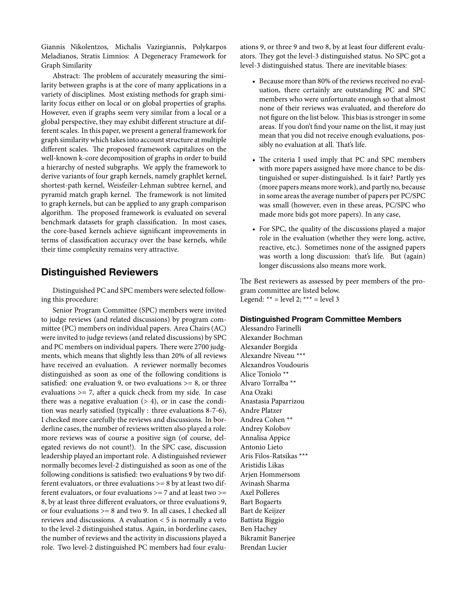Giannis Nikolentzos, Michalis Vazirgiannis, Polykarpos Meladianos, Stratis Limnios: A Degeneracy Framework for Graph Similarity

Abstract: The problem of accurately measuring the similarity between graphs is at the core of many applications in a variety of disciplines. Most existing methods for graph similarity focus either on local or on global properties of graphs. However, even if graphs seem very similar from a local or a global perspective, they may exhibit different structure at different scales. In this paper, we present a general framework for graph similarity which takes into account structure at multiple different scales. The proposed framework capitalizes on the well-known k-core decomposition of graphs in order to build a hierarchy of nested subgraphs. We apply the framework to derive variants of four graph kernels, namely graphlet kernel, shortest-path kernel, Weisfeiler-Lehman subtree kernel, and pyramid match graph kernel. The framework is not limited to graph kernels, but can be applied to any graph comparison algorithm. The proposed framework is evaluated on several benchmark datasets for graph classification. In most cases, the core-based kernels achieve significant improvements in terms of classification accuracy over the base kernels, while their time complexity remains very attractive.

### **Distinguished Reviewers**

Distinguished PC and SPC members were selected following this procedure:

Senior Program Committee (SPC) members were invited to judge reviews (and related discussions) by program committee (PC) members on individual papers. Area Chairs (AC) were invited to judge reviews (and related discussions) by SPC and PC members on individual papers. There were 2700 judgments, which means that slightly less than 20% of all reviews have received an evaluation. A reviewer normally becomes distinguished as soon as one of the following conditions is satisfied: one evaluation 9, or two evaluations  $>= 8$ , or three evaluations >= 7, after a quick check from my side. In case there was a negative evaluation  $(> 4)$ , or in case the condition was nearly satisfied (typically : three evaluations 8-7-6), I checked more carefully the reviews and discussions. In borderline cases, the number of reviews written also played a role: more reviews was of course a positive sign (of course, delegated reviews do not count!). In the SPC case, discussion leadership played an important role. A distinguished reviewer normally becomes level-2 distinguished as soon as one of the following conditions is satisfied: two evaluations 9 by two different evaluators, or three evaluations  $>= 8$  by at least two different evaluators, or four evaluations  $>= 7$  and at least two  $>=$ 8, by at least three different evaluators, or three evaluations 9, or four evaluations >= 8 and two 9. In all cases, I checked all reviews and discussions. A evaluation < 5 is normally a veto to the level-2 distinguished status. Again, in borderline cases, the number of reviews and the activity in discussions played a role. Two level-2 distinguished PC members had four evaluations 9, or three 9 and two 8, by at least four different evaluators. They got the level-3 distinguished status. No SPC got a level-3 distinguished status. There are inevitable biases:

- Because more than 80% of the reviews received no evaluation, there certainly are outstanding PC and SPC members who were unfortunate enough so that almost none of their reviews was evaluated, and therefore do not figure on the list below. This bias is stronger in some areas. If you don't find your name on the list, it may just mean that you did not receive enough evaluations, possibly no evaluation at all. That's life.
- The criteria I used imply that PC and SPC members with more papers assigned have more chance to be distinguished or super-distinguished. Is it fair? Partly yes (more papers means more work), and partly no, because in some areas the average number of papers per PC/SPC was small (however, even in these areas, PC/SPC who made more bids got more papers). In any case,
- For SPC, the quality of the discussions played a major role in the evaluation (whether they were long, active, reactive, etc.). Sometimes none of the assigned papers was worth a long discussion: that's life. But (again) longer discussions also means more work.

The Best reviewers as assessed by peer members of the program committee are listed below. Legend:  $** = level 2; *** = level 3$ 

#### **Distinguished Program Committee Members**

Alessandro Farinelli Alexander Bochman Alexander Borgida Alexandre Niveau \*\*\* Alexandros Voudouris Alice Toniolo \*\* Alvaro Torralba \*\* Ana Ozaki Anastasia Paparrizou Andre Platzer Andrea Cohen \*\* Andrey Kolobov Annalisa Appice Antonio Lieto Aris Filos-Ratsikas \*\*\* Aristidis Likas Arjen Hommersom Avinash Sharma Axel Polleres Bart Bogaerts Bart de Keijzer Battista Biggio Ben Hachey Bikramit Banerjee Brendan Lucier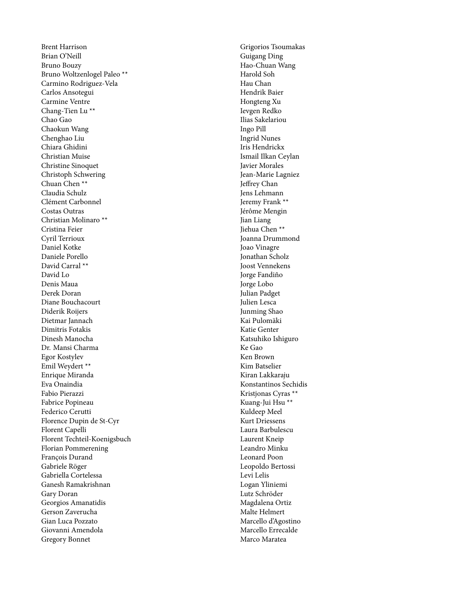Brent Harrison Brian O'Neill Bruno Bouzy Bruno Woltzenlogel Paleo \*\* Carmino Rodriguez-Vela Carlos Ansotegui Carmine Ventre Chang-Tien Lu \*\* Chao Gao Chaokun Wang Chenghao Liu Chiara Ghidini Christian Muise Christine Sinoquet Christoph Schwering Chuan Chen \*\* Claudia Schulz Clément Carbonnel Costas Outras Christian Molinaro \*\* Cristina Feier Cyril Terrioux Daniel Kotke Daniele Porello David Carral \*\* David Lo Denis Maua Derek Doran Diane Bouchacourt Diderik Roijers Dietmar Jannach Dimitris Fotakis Dinesh Manocha Dr. Mansi Charma Egor Kostylev Emil Weydert \*\* Enrique Miranda Eva Onaindia Fabio Pierazzi Fabrice Popineau Federico Cerutti Florence Dupin de St-Cyr Florent Capelli Florent Techteil-Koenigsbuch Florian Pommerening François Durand Gabriele Röger Gabriella Cortelessa Ganesh Ramakrishnan Gary Doran Georgios Amanatidis Gerson Zaverucha Gian Luca Pozzato Giovanni Amendola Gregory Bonnet

Grigorios Tsoumakas Guigang Ding Hao-Chuan Wang Harold Soh Hau Chan Hendrik Baier Hongteng Xu Ievgen Redko Ilias Sakelariou Ingo Pill Ingrid Nunes Iris Hendrickx Ismail Ilkan Ceylan Javier Morales Jean-Marie Lagniez Jeffrey Chan Jens Lehmann Jeremy Frank \*\* Jérôme Mengin Jian Liang Jiehua Chen \*\* Joanna Drummond Joao Vinagre Jonathan Scholz Joost Vennekens Jorge Fandiño Jorge Lobo Julian Padget Julien Lesca Junming Shao Kai Pulomäki Katie Genter Katsuhiko Ishiguro Ke Gao Ken Brown Kim Batselier Kiran Lakkaraju Konstantinos Sechidis Kristjonas Cyras \*\* Kuang-Jui Hsu \*\* Kuldeep Meel Kurt Driessens Laura Barbulescu Laurent Kneip Leandro Minku Leonard Poon Leopoldo Bertossi Levi Lelis Logan Yliniemi Lutz Schröder Magdalena Ortiz Malte Helmert Marcello d'Agostino Marcello Errecalde Marco Maratea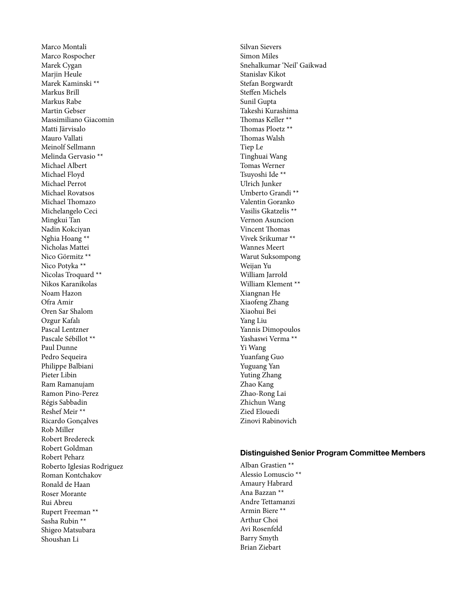Marco Montali Marco Rospocher Marek Cygan Marjin Heule Marek Kaminski \*\* Markus Brill Markus Rabe Martin Gebser Massimiliano Giacomin Matti Järvisalo Mauro Vallati Meinolf Sellmann Melinda Gervasio \*\* Michael Albert Michael Floyd Michael Perrot Michael Rovatsos Michael Thomazo Michelangelo Ceci Mingkui Tan Nadin Kokciyan Nghia Hoang \*\* Nicholas Mattei Nico Görmitz \*\* Nico Potyka \*\* Nicolas Troquard \*\* Nikos Karanikolas Noam Hazon Ofra Amir Oren Sar Shalom Ozgur Kafalı Pascal Lentzner Pascale Sébillot \*\* Paul Dunne Pedro Sequeira Philippe Balbiani Pieter Libin Ram Ramanujam Ramon Pino-Perez Régis Sabbadin Reshef Meir \*\* Ricardo Gonçalves Rob Miller Robert Bredereck Robert Goldman Robert Peharz Roberto Iglesias Rodriguez Roman Kontchakov Ronald de Haan Roser Morante Rui Abreu Rupert Freeman \*\* Sasha Rubin \*\* Shigeo Matsubara Shoushan Li

Silvan Sievers Simon Miles Snehalkumar 'Neil' Gaikwad Stanislav Kikot Stefan Borgwardt Steffen Michels Sunil Gupta Takeshi Kurashima Thomas Keller \*\* Thomas Ploetz \*\* Thomas Walsh Tiep Le Tinghuai Wang Tomas Werner Tsuyoshi Ide \*\* Ulrich Junker Umberto Grandi \*\* Valentin Goranko Vasilis Gkatzelis \*\* Vernon Asuncion Vincent Thomas Vivek Srikumar \*\* Wannes Meert Warut Suksompong Weijan Yu William Jarrold William Klement \*\* Xiangnan He Xiaofeng Zhang Xiaohui Bei Yang Liu Yannis Dimopoulos Yashaswi Verma \*\* Yi Wang Yuanfang Guo Yuguang Yan Yuting Zhang Zhao Kang Zhao-Rong Lai Zhichun Wang Zied Elouedi Zinovi Rabinovich

#### **Distinguished Senior Program Committee Members**

Alban Grastien \*\* Alessio Lomuscio \*\* Amaury Habrard Ana Bazzan \*\* Andre Tettamanzi Armin Biere \*\* Arthur Choi Avi Rosenfeld Barry Smyth Brian Ziebart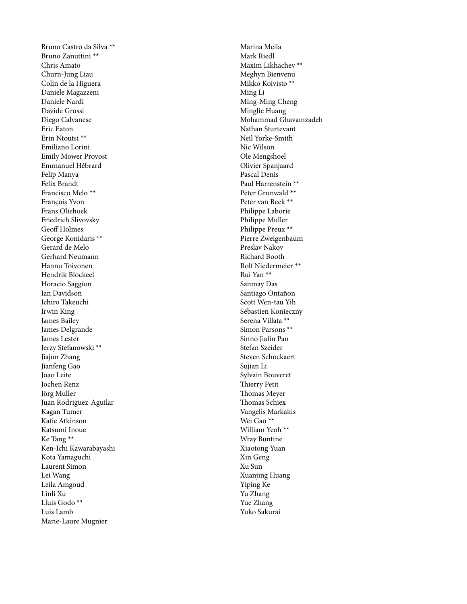Bruno Castro da Silva \*\* Bruno Zanuttini \*\* Chris Amato Churn-Jung Liau Colin de la Higuera Daniele Magazzeni Daniele Nardi Davide Grossi Diego Calvanese Eric Eaton Erin Ntoutsi \*\* Emiliano Lorini Emily Mower Provost Emmanuel Hébrard Felip Manya Felix Brandt Francisco Melo \*\* François Yvon Frans Oliehoek Friedrich Slivovsky Geoff Holmes George Konidaris \*\* Gerard de Melo Gerhard Neumann Hannu Toivonen Hendrik Blockeel Horacio Saggion Ian Davidson Ichiro Takeuchi Irwin King James Bailey James Delgrande James Lester Jerzy Stefanowski \*\* Jiajun Zhang Jianfeng Gao Joao Leite Jochen Renz Jörg Muller Juan Rodriguez-Aguilar Kagan Tumer Katie Atkinson Katsumi Inoue Ke Tang \*\* Ken-Ichi Kawarabayashi Kota Yamaguchi Laurent Simon Lei Wang Leila Amgoud Linli Xu Lluis Godo \*\* Luis Lamb Marie-Laure Mugnier

Marina Meila Mark Riedl Maxim Likhachev \*\* Meghyn Bienvenu Mikko Koivisto \*\* Ming Li Ming-Ming Cheng Minglie Huang Mohammad Ghavamzadeh Nathan Sturtevant Neil Yorke-Smith Nic Wilson Ole Mengshoel Olivier Spanjaard Pascal Denis Paul Harrenstein \*\* Peter Grunwald \*\* Peter van Beek \*\* Philippe Laborie Philippe Muller Philippe Preux \*\* Pierre Zweigenbaum Preslav Nakov Richard Booth Rolf Niedermeier \*\* Rui Yan \*\* Sanmay Das Santiago Ontañon Scott Wen-tau Yih Sébastien Konieczny Serena Villata \*\* Simon Parsons \*\* Sinno Jialin Pan Stefan Szeider Steven Schockaert Sujian Li Sylvain Bouveret Thierry Petit Thomas Meyer Thomas Schiex Vangelis Markakis Wei Gao \*\* William Yeoh \*\* Wray Buntine Xiaotong Yuan Xin Geng Xu Sun Xuanjing Huang Yiping Ke Yu Zhang Yue Zhang Yuko Sakurai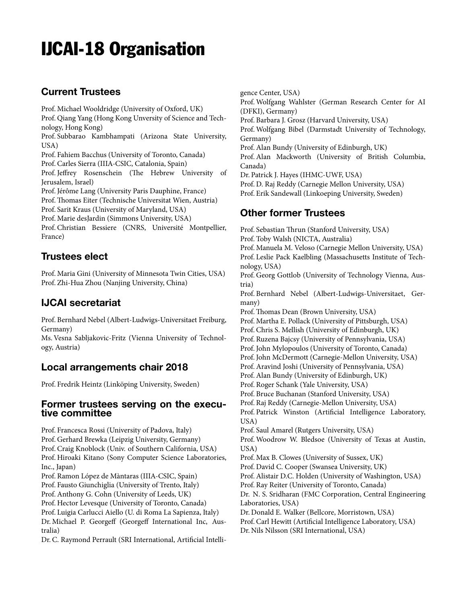# IJCAI-18 Organisation

## **Current Trustees**

Prof. Michael Wooldridge (University of Oxford, UK) Prof. Qiang Yang (Hong Kong Unversity of Science and Technology, Hong Kong) Prof. Subbarao Kambhampati (Arizona State University, USA) Prof. Fahiem Bacchus (University of Toronto, Canada) Prof. Carles Sierra (IIIA-CSIC, Catalonia, Spain) Prof. Jeffrey Rosenschein (The Hebrew University of Jerusalem, Israel) Prof. Jérôme Lang (University Paris Dauphine, France) Prof.Thomas Eiter (Technische Universitat Wien, Austria) Prof. Sarit Kraus (University of Maryland, USA) Prof. Marie desJardin (Simmons University, USA) Prof. Christian Bessiere (CNRS, Université Montpellier, France)

## **Trustees elect**

Prof. Maria Gini (University of Minnesota Twin Cities, USA) Prof. Zhi-Hua Zhou (Nanjing University, China)

# **IJCAI secretariat**

Prof. Bernhard Nebel (Albert-Ludwigs-Universitaet Freiburg, Germany)

Ms. Vesna Sabljakovic-Fritz (Vienna University of Technology, Austria)

## **Local arrangements chair 2018**

Prof. Fredrik Heintz (Linköping University, Sweden)

### **Former trustees serving on the executive committee**

Prof. Francesca Rossi (University of Padova, Italy) Prof. Gerhard Brewka (Leipzig University, Germany) Prof. Craig Knoblock (Univ. of Southern California, USA) Prof. Hiroaki Kitano (Sony Computer Science Laboratories, Inc., Japan) Prof. Ramon López de Màntaras (IIIA-CSIC, Spain) Prof. Fausto Giunchiglia (University of Trento, Italy) Prof. Anthony G. Cohn (University of Leeds, UK) Prof. Hector Levesque (University of Toronto, Canada) Prof. Luigia Carlucci Aiello (U. di Roma La Sapienza, Italy) Dr. Michael P. Georgeff (Georgeff International Inc, Australia)

Dr. C. Raymond Perrault (SRI International, Artificial Intelli-

gence Center, USA) Prof. Wolfgang Wahlster (German Research Center for AI (DFKI), Germany) Prof. Barbara J. Grosz (Harvard University, USA) Prof. Wolfgang Bibel (Darmstadt University of Technology, Germany) Prof. Alan Bundy (University of Edinburgh, UK) Prof. Alan Mackworth (University of British Columbia, Canada) Dr. Patrick J. Hayes (IHMC-UWF, USA) Prof. D. Raj Reddy (Carnegie Mellon University, USA) Prof. Erik Sandewall (Linkoeping University, Sweden)

## **Other former Trustees**

Prof. Sebastian Thrun (Stanford University, USA) Prof. Toby Walsh (NICTA, Australia) Prof. Manuela M. Veloso (Carnegie Mellon University, USA) Prof. Leslie Pack Kaelbling (Massachusetts Institute of Technology, USA) Prof. Georg Gottlob (University of Technology Vienna, Austria) Prof. Bernhard Nebel (Albert-Ludwigs-Universitaet, Germany) Prof.Thomas Dean (Brown University, USA) Prof. Martha E. Pollack (University of Pittsburgh, USA) Prof. Chris S. Mellish (University of Edinburgh, UK) Prof. Ruzena Bajcsy (University of Pennsylvania, USA) Prof. John Mylopoulos (University of Toronto, Canada) Prof. John McDermott (Carnegie-Mellon University, USA) Prof. Aravind Joshi (University of Pennsylvania, USA) Prof. Alan Bundy (University of Edinburgh, UK) Prof. Roger Schank (Yale University, USA) Prof. Bruce Buchanan (Stanford University, USA) Prof. Raj Reddy (Carnegie-Mellon University, USA) Prof. Patrick Winston (Artificial Intelligence Laboratory, USA) Prof. Saul Amarel (Rutgers University, USA) Prof. Woodrow W. Bledsoe (University of Texas at Austin, USA) Prof. Max B. Clowes (University of Sussex, UK) Prof. David C. Cooper (Swansea University, UK) Prof. Alistair D.C. Holden (University of Washington, USA) Prof. Ray Reiter (University of Toronto, Canada) Dr. N. S. Sridharan (FMC Corporation, Central Engineering Laboratories, USA) Dr. Donald E. Walker (Bellcore, Morristown, USA) Prof. Carl Hewitt (Artificial Intelligence Laboratory, USA) Dr. Nils Nilsson (SRI International, USA)